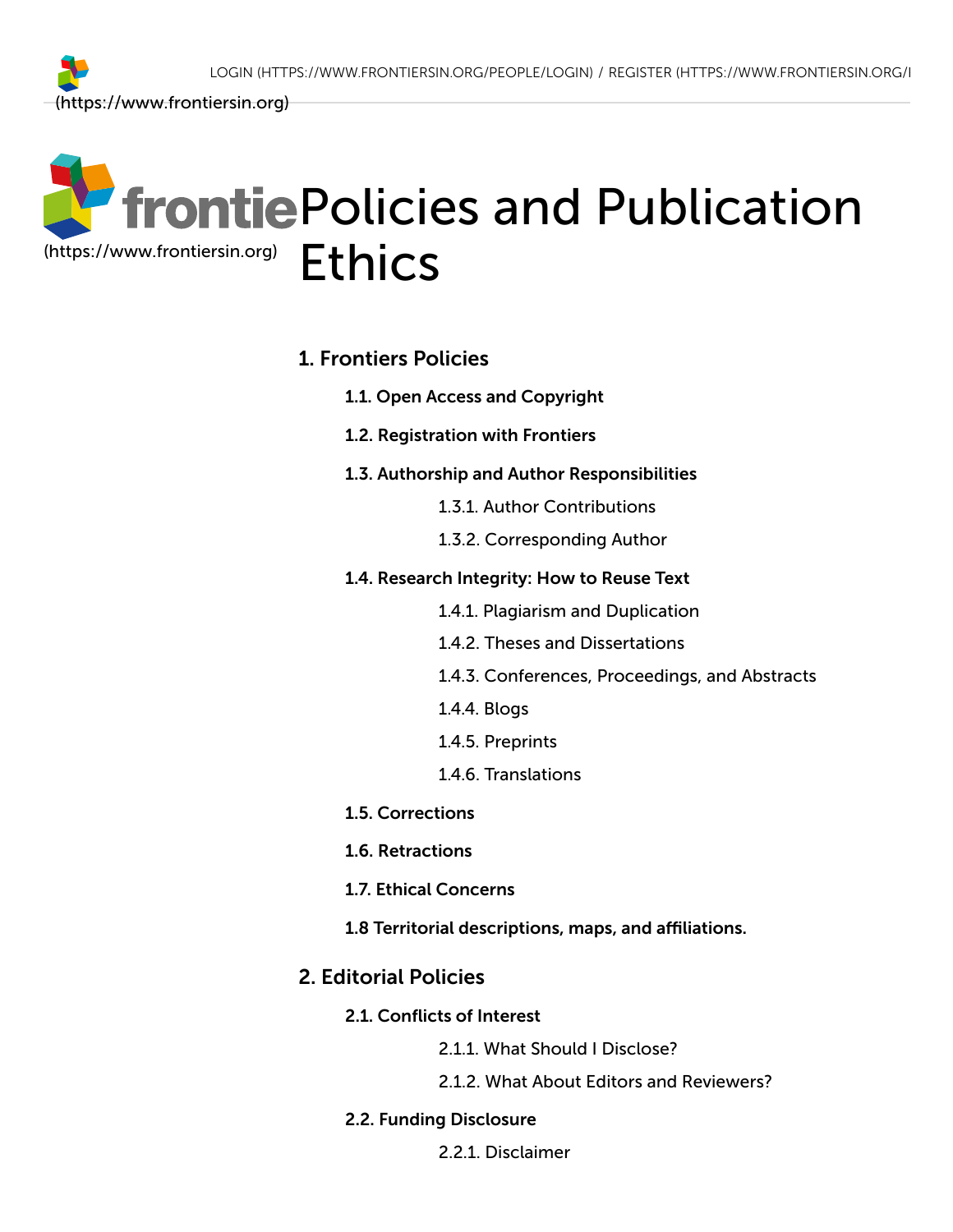

#### 1. [Frontiers](#page-1-0) Policies

- 1.1. Open Access and [Copyright](#page-1-1)
- 1.2. [Registration](#page-2-0) with Frontiers
- 1.3. Authorship and Author [Responsibilities](#page-2-1)
	- 1.3.1. [Author Contributions](#page-3-0)
	- 1.3.2. [Corresponding](#page-4-0) Author
- 1.4. Research [Integrity:](#page-4-1) How to Reuse Text
	- 1.4.1. Plagiarism [and Duplication](#page-6-0)
	- 1.4.2. Theses [and Dissertations](#page-6-1)
	- 1.4.3. Conferences, Proceedings, [and Abstracts](#page-6-2)
	- 1.4.4. [Blogs](#page-7-0)
	- 1.4.5. [Preprints](#page-7-1)
	- 1.4.6. [Translations](#page-8-0)
- 1.5. [Corrections](#page-9-0)
- 1.6. [Retractions](#page-10-0)
- 1.7. Ethical [Concerns](#page-11-0)
- 1.8 Territorial [descriptions,](#page-11-0) maps, and affiliations.

### 2. [Editorial Policies](#page-12-0)

- 2.1. [Conflicts](#page-12-1) of Interest
	- 2.1.1. What Should I [Disclose?](#page-13-0)
	- 2.1.2. What About Editors [and Reviewers?](#page-14-0)

#### 2.2. Funding [Disclosure](#page-15-0)

2.2.1. [Disclaimer](#page-16-0)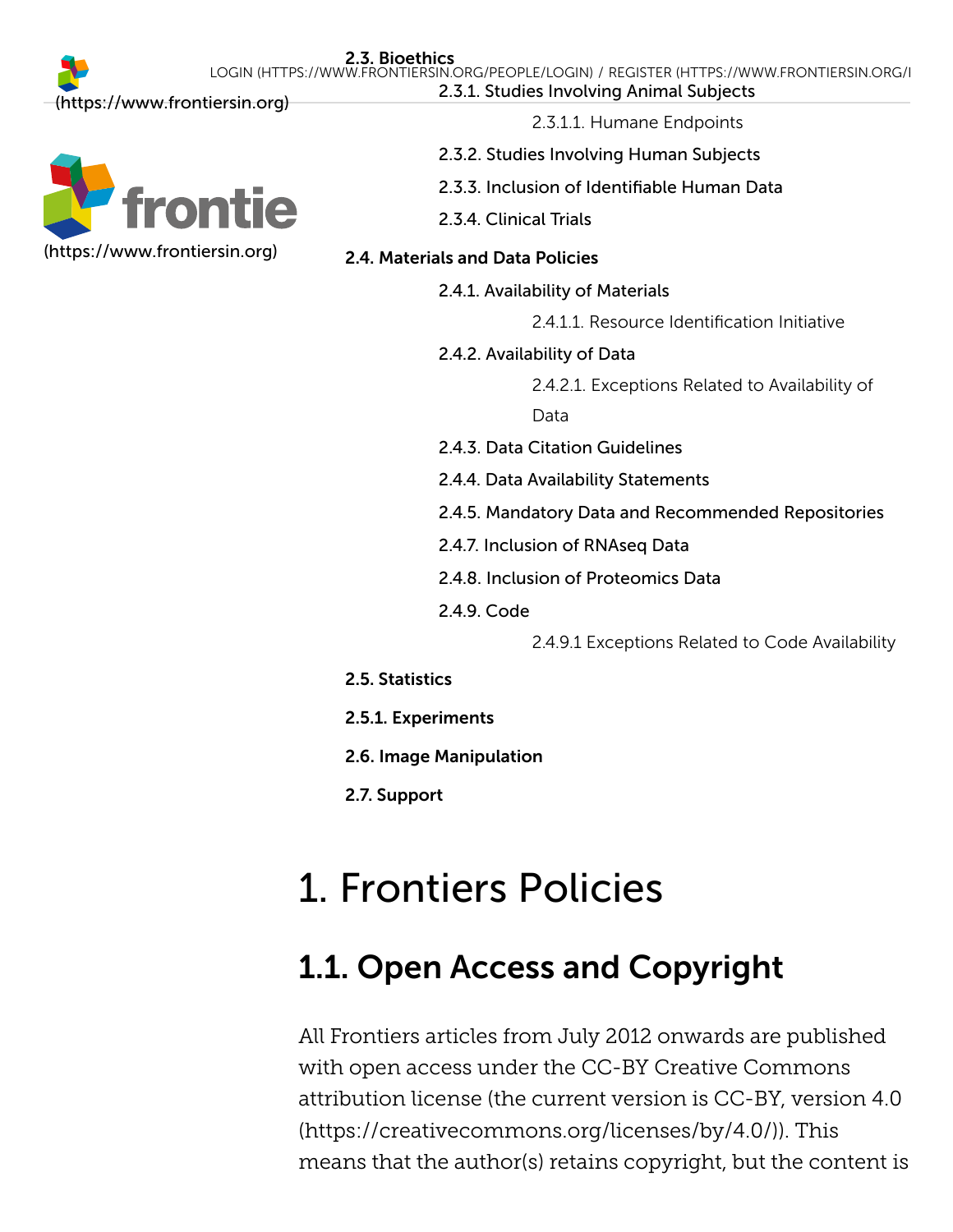

2.3.1.1. Humane [Endpoints](#page-17-0)

- 2.3.2. Studies [Involving](#page-18-0) Human Subjects
- 2.3.3. Inclusion of [Identifiable](#page-19-0) Human Data
- 2.3.4. [Clinical](#page-20-0) Trials

### 2.4. [Materials](#page-21-0) and Data Policies

2.4.1. [Availability](#page-22-0) of Materials

2.4.1.1. Resource [Identification](#page-22-1) Initiative

2.4.2. [Availability](#page-22-2) of Data

2.4.2.1. [Exceptions](#page-23-0) Related to Availability of

Data

- 2.4.3. Data Citation [Guidelines](#page-24-0)
- 2.4.4. Data Availability [Statements](#page-24-1)
- 2.4.5. Mandatory Data [and Recommended](#page-26-0) Repositories
- 2.4.7. Inclusion of [RNAseq Data](#page-28-0)
- 2.4.8. Inclusion of [Proteomics](#page-29-0) Data
- 2.4.9. [Code](#page-30-0)

2.4.9.1 [Exceptions](#page-30-1) Related to Code Availability

- 2.5. [Statistics](#page-31-0)
- 2.5.1. [Experiments](#page-31-1)
- 2.6. Image [Manipulation](#page-32-0)
- 2.7. [Support](#page-32-1)

# <span id="page-1-0"></span>1. Frontiers Policies

## <span id="page-1-1"></span>1.1. Open Access and Copyright

All Frontiers articles from July 2012 onwards are published with open access under the CC-BY Creative Commons attribution license (the current version is CC-BY, version 4.0 [\(https://creativecommons.org/licenses/by/4.0/\)\). This](https://creativecommons.org/licenses/by/4.0/) means that the author(s) retains copyright, but the content is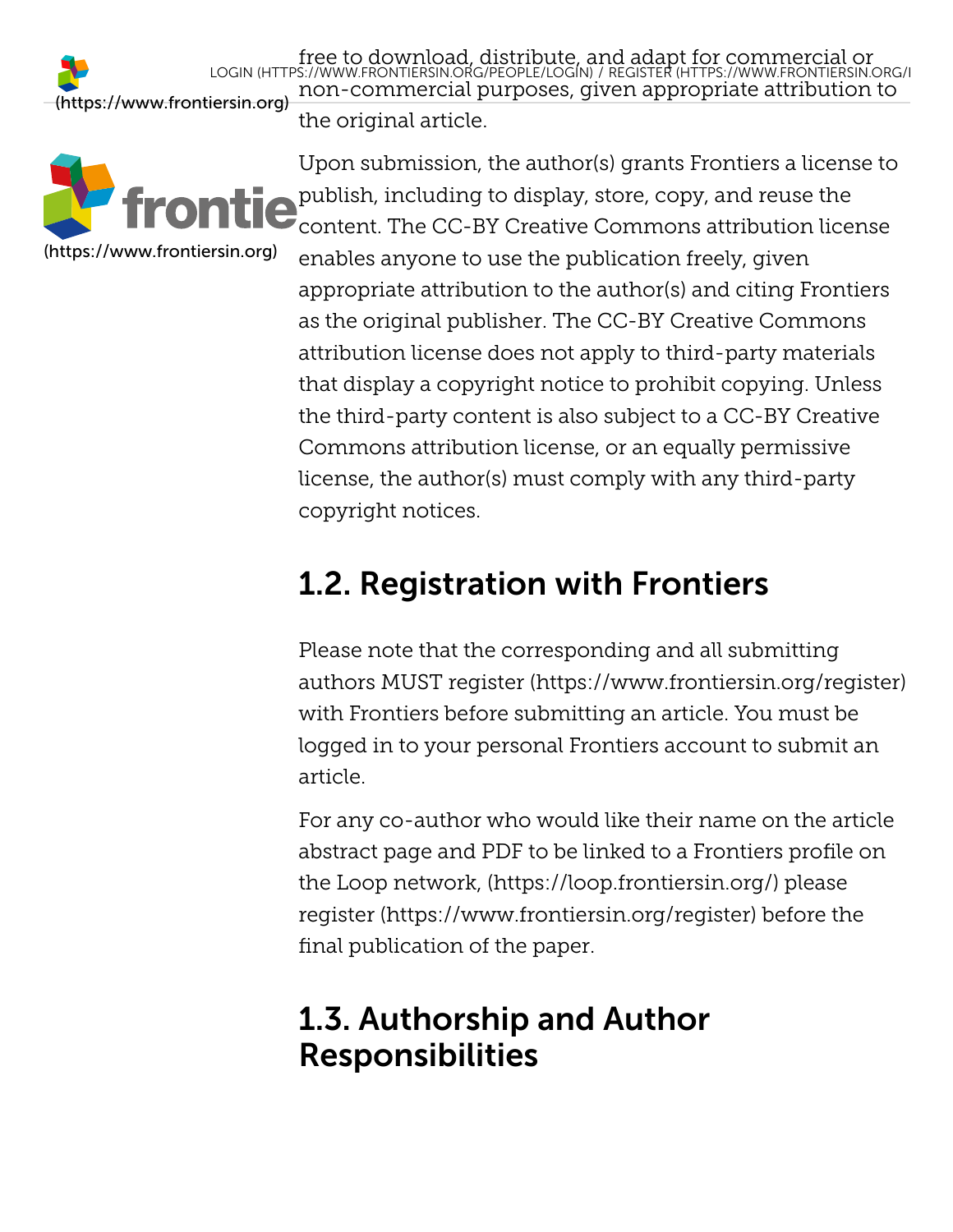free to download, distribute, a[nd adapt for commercial or](https://www.frontiersin.org/register)<br>LOGIN [\(HTTPS://WWW.FRONTIERSIN.ORG/PEOPLE/LOGIN\)](https://www.frontiersin.org/people/login) / REGISTER (HTTPS://WWW.FRONTIERSIN.ORG/I non-commercial purposes, given appropriate attribution to the original article. [\(https://www.frontiersin.org\)](https://www.frontiersin.org/)



Upon submission, the author(s) grants Frontiers a license to publish, including to display, store, copy, and reuse the content. The CC-BY Creative Commons attribution license enables anyone to use the publication freely, given appropriate attribution to the author(s) and citing Frontiers as the original publisher. The CC-BY Creative Commons attribution license does not apply to third-party materials that display a copyright notice to prohibit copying. Unless the third-party content is also subject to a CC-BY Creative Commons attribution license, or an equally permissive license, the author(s) must comply with any third-party copyright notices.

## <span id="page-2-0"></span>1.2. Registration with Frontiers

Please note that the corresponding and all submitting authors MUST [register \(https://www.frontiersin.org/register\)](https://www.frontiersin.org/register) with Frontiers before submitting an article. You must be logged in to your personal Frontiers account to submit an article.

For any co-author who would like their name on the article abstract page and PDF to be linked to a Frontiers profile on the [Loop network, \(https://loop.frontiersin.org/\)](https://loop.frontiersin.org/) please [register \(https://www.frontiersin.org/register\)](https://www.frontiersin.org/register) before the final publication of the paper.

## <span id="page-2-1"></span>1.3. Authorship and Author Responsibilities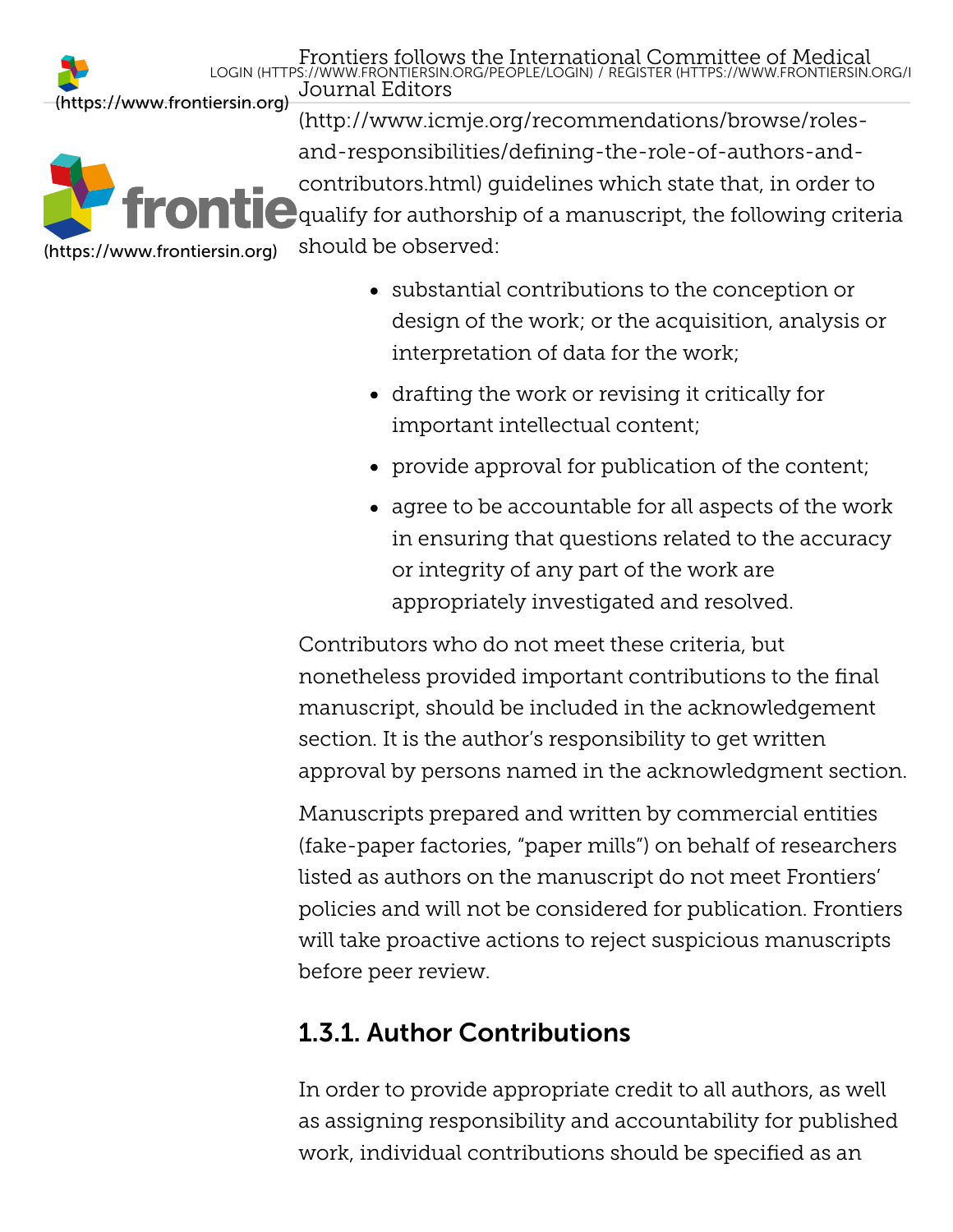Frontiers follows the Internati[onal Committee of Medical](https://www.frontiersin.org/register) LOGIN [\(HTTPS://WWW.FRONTIERSIN.ORG/PEOPLE/LOGIN\)](https://www.frontiersin.org/people/login) / REGISTER (HTTPS://WWW.FRONTIERSIN.ORG/RJournal Editors

[\(https://www.frontiersin.org\)](https://www.frontiersin.org/)

[\(https://www.frontiersin.org\)](https://www.frontiersin.org/)

(http://www.icmje.org/recommendations/browse/rolesand-responsibilities/defining-the-role-of-authors-and[contributors.html\) guidelines which state that, in order to](http://www.icmje.org/recommendations/browse/roles-and-responsibilities/defining-the-role-of-authors-and-contributors.html)  $\blacksquare$  qualify for authorship of a manuscript, the following criteria should be observed:

- substantial contributions to the conception or design of the work; or the acquisition, analysis or interpretation of data for the work;
- drafting the work or revising it critically for important intellectual content;
- provide approval for publication of the content;
- agree to be accountable for all aspects of the work in ensuring that questions related to the accuracy or integrity of any part of the work are appropriately investigated and resolved.

Contributors who do not meet these criteria, but nonetheless provided important contributions to the final manuscript, should be included in the acknowledgement section. It is the author's responsibility to get written approval by persons named in the acknowledgment section.

Manuscripts prepared and written by commercial entities (fake-paper factories, "paper mills") on behalf of researchers listed as authors on the manuscript do not meet Frontiers' policies and will not be considered for publication. Frontiers will take proactive actions to reject suspicious manuscripts before peer review.

### <span id="page-3-0"></span>1.3.1. Author Contributions

In order to provide appropriate credit to all authors, as well as assigning responsibility and accountability for published work, individual contributions should be specified as an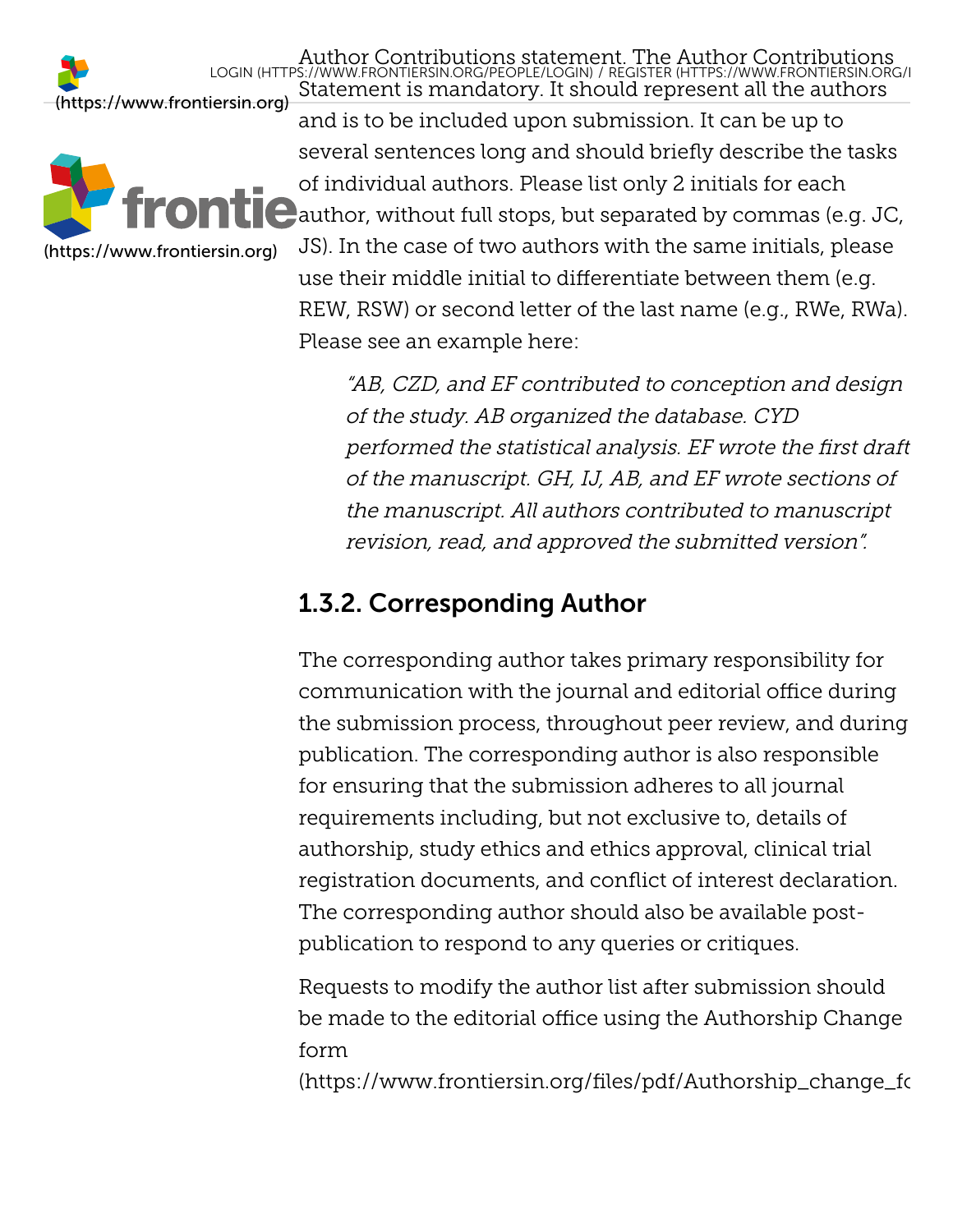[\(https://www.frontiersin.org\)](https://www.frontiersin.org/) LOGIN [\(HTTPS://WWW.FRONTIERSIN.ORG/PEOPLE/LOGIN\)](https://www.frontiersin.org/people/login) / REGISTER (HTTPS://WWW.FRONTIERSIN.ORG/R



Statement is mandatory. It should represent all the authors and is to be included upon submission. It can be up to several sentences long and should briefly describe the tasks of individual authors. Please list only 2 initials for each  $\Box$  author, without full stops, but separated by commas (e.g. JC, JS). In the case of two authors with the same initials, please use their middle initial to differentiate between them (e.g. REW, RSW) or second letter of the last name (e.g., RWe, RWa). Please see an example here:

Author Contributions stateme[nt. The Author Contributions](https://www.frontiersin.org/register)

"AB, CZD, and EF contributed to conception and design of the study. AB organized the database. CYD performed the statistical analysis. EF wrote the first draft of the manuscript. GH, IJ, AB, and EF wrote sections of the manuscript. All authors contributed to manuscript revision, read, and approved the submitted version".

### <span id="page-4-0"></span>1.3.2. Corresponding Author

The corresponding author takes primary responsibility for communication with the journal and editorial office during the submission process, throughout peer review, and during publication. The corresponding author is also responsible for ensuring that the submission adheres to all journal requirements including, but not exclusive to, details of authorship, study ethics and ethics approval, clinical trial registration documents, and conflict of interest declaration. The corresponding author should also be available postpublication to respond to any queries or critiques.

Requests to modify the author list after submission should be made to the editorial office using the Authorship Change form

<span id="page-4-1"></span>[\(https://www.frontiersin.org/files/pdf/Authorship\\_change\\_fo](https://www.frontiersin.org/files/pdf/Authorship_change_form.pdf)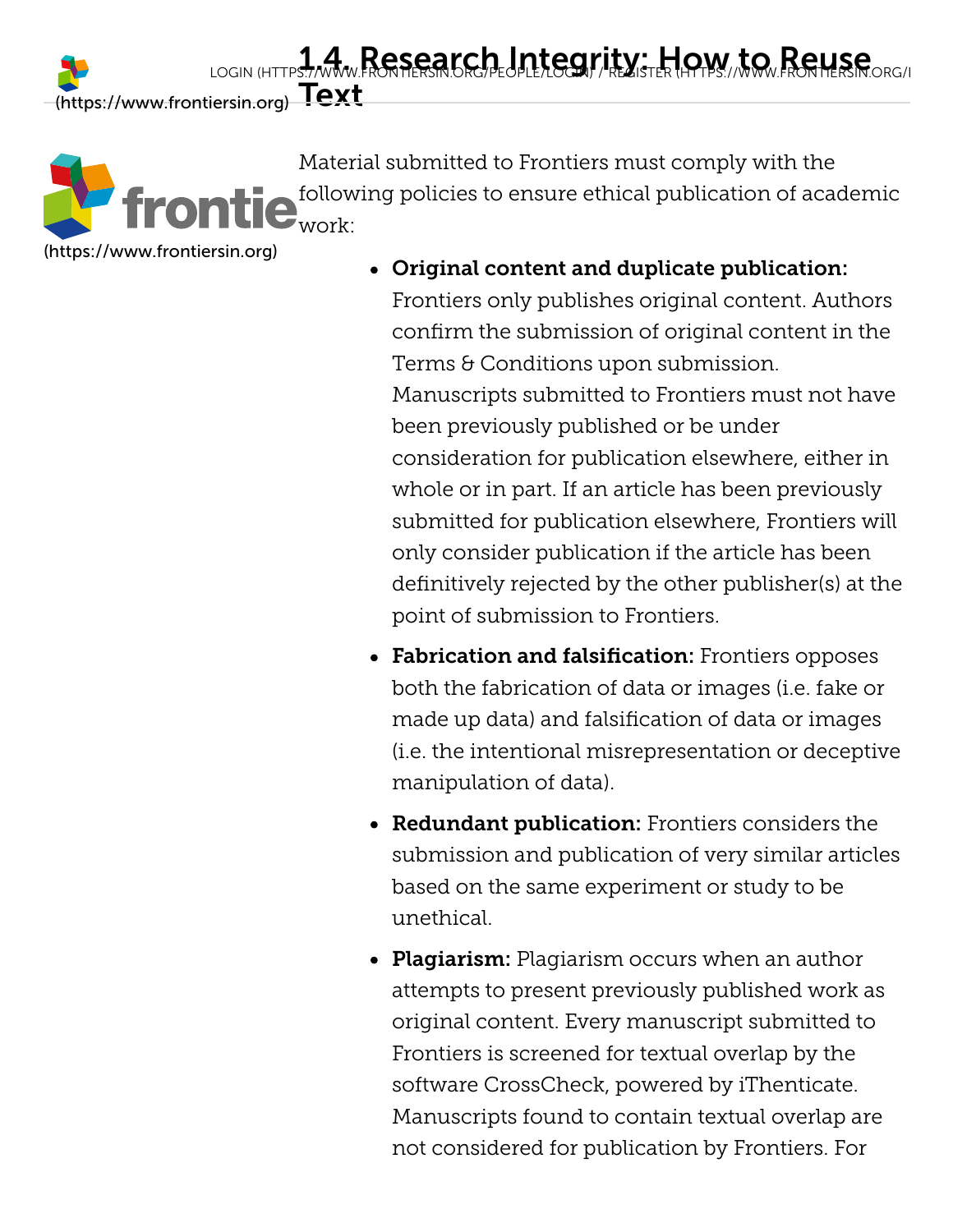Material submitted to Frontiers must comply with the following policies to ensure ethical publication of academic work:

[\(https://www.frontiersin.org\)](https://www.frontiersin.org/)

Original content and duplicate publication: Frontiers only publishes original content. Authors confirm the submission of original content in the Terms & Conditions upon submission. Manuscripts submitted to Frontiers must not have been previously published or be under consideration for publication elsewhere, either in whole or in part. If an article has been previously submitted for publication elsewhere, Frontiers will only consider publication if the article has been definitively rejected by the other publisher(s) at the point of submission to Frontiers.

- Fabrication and falsification: Frontiers opposes both the fabrication of data or images (i.e. fake or made up data) and falsification of data or images (i.e. the intentional misrepresentation or deceptive manipulation of data).
- Redundant publication: Frontiers considers the submission and publication of very similar articles based on the same experiment or study to be unethical.
- Plagiarism: Plagiarism occurs when an author attempts to present previously published work as original content. Every manuscript submitted to Frontiers is screened for textual overlap by the software CrossCheck, powered by iThenticate. Manuscripts found to contain textual overlap are not considered for publication by Frontiers. For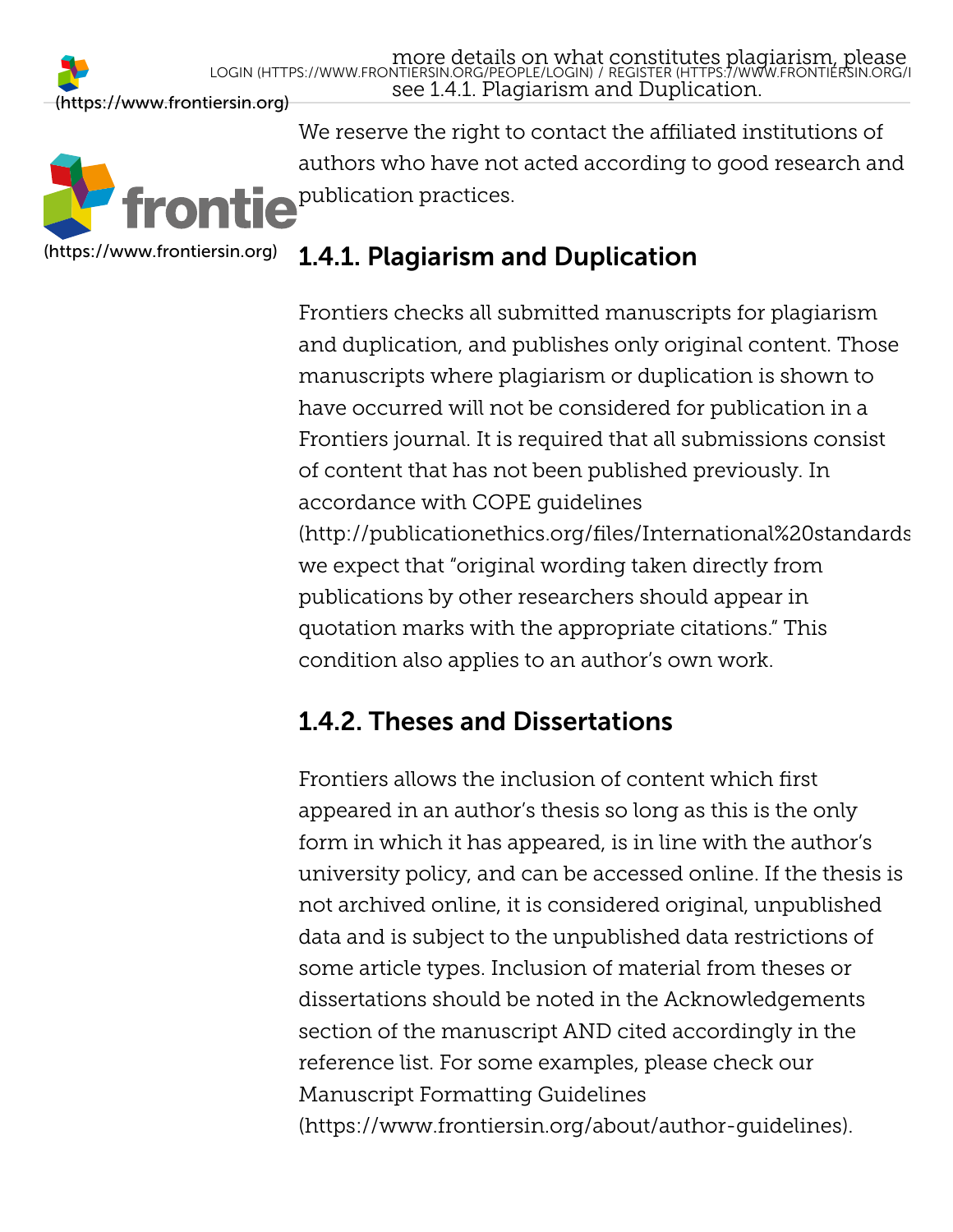

We reserve the right to contact the affiliated institutions of authors who have not acted according to good research and publication practices.

### <span id="page-6-0"></span>1.4.1. Plagiarism and Duplication

Frontiers checks all submitted manuscripts for plagiarism and duplication, and publishes only original content. Those manuscripts where plagiarism or duplication is shown to have occurred will not be considered for publication in a Frontiers journal. It is required that all submissions consist of content that has not been published previously. In accordance with COPE guidelines [\(http://publicationethics.org/files/International%20standards](http://publicationethics.org/files/International%20standards_authors_for%20website_11_Nov_2011.pdf) we expect that "original wording taken directly from publications by other researchers should appear in quotation marks with the appropriate citations." This condition also applies to an author's own work.

### <span id="page-6-1"></span>1.4.2. Theses and Dissertations

<span id="page-6-2"></span>Frontiers allows the inclusion of content which first appeared in an author's thesis so long as this is the only form in which it has appeared, is in line with the author's university policy, and can be accessed online. If the thesis is not archived online, it is considered original, unpublished data and is subject to the unpublished data restrictions of some article types. Inclusion of material from theses or dissertations should be noted in the Acknowledgements section of the manuscript AND cited accordingly in the reference list. For some examples, please check our Manuscript Formatting Guidelines [\(https://www.frontiersin.org/about/author-guidelines\)](https://www.frontiersin.org/about/author-guidelines).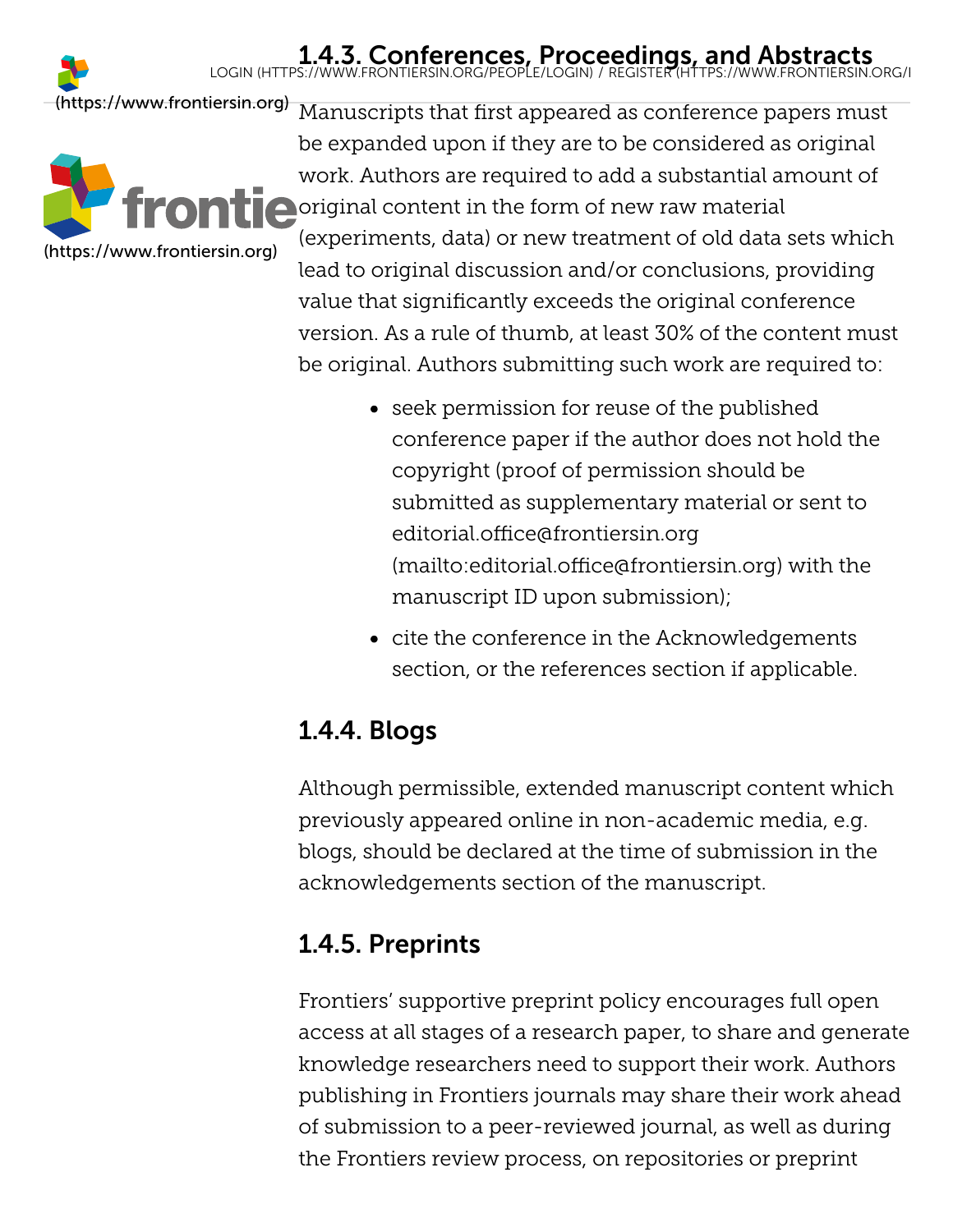## 1.4.3. Conferences, Proceedings, and Abstracts<br>LOGIN [\(HTTPS://WWW.FRONTIERSIN.ORG/PEOPLE/LOGIN\)](https://www.frontiersin.org/people/login) / REGISTER (HTTPS://WWW.FRONTIERSIN.ORG/I

[\(https://www.frontiersin.org\)](https://www.frontiersin.org/)



Manuscripts that first appeared as conference papers must be expanded upon if they are to be considered as original work. Authors are required to add a substantial amount of **O** original content in the form of new raw material (experiments, data) or new treatment of old data sets which lead to original discussion and/or conclusions, providing value that significantly exceeds the original conference version. As a rule of thumb, at least 30% of the content must be original. Authors submitting such work are required to:

- seek permission for reuse of the published conference paper if the author does not hold the copyright (proof of permission should be submitted as supplementary material or sent to editorial.office@frontiersin.org [\(mailto:editorial.office@frontiersin.org\)](mailto:editorial.office@frontiersin.org) with the manuscript ID upon submission);
- cite the conference in the Acknowledgements section, or the references section if applicable.

## <span id="page-7-0"></span>1.4.4. Blogs

Although permissible, extended manuscript content which previously appeared online in non-academic media, e.g. blogs, should be declared at the time of submission in the acknowledgements section of the manuscript.

### <span id="page-7-1"></span>1.4.5. Preprints

Frontiers' supportive preprint policy encourages full open access at all stages of a research paper, to share and generate knowledge researchers need to support their work. Authors publishing in Frontiers journals may share their work ahead of submission to a peer-reviewed journal, as well as during the Frontiers review process, on repositories or preprint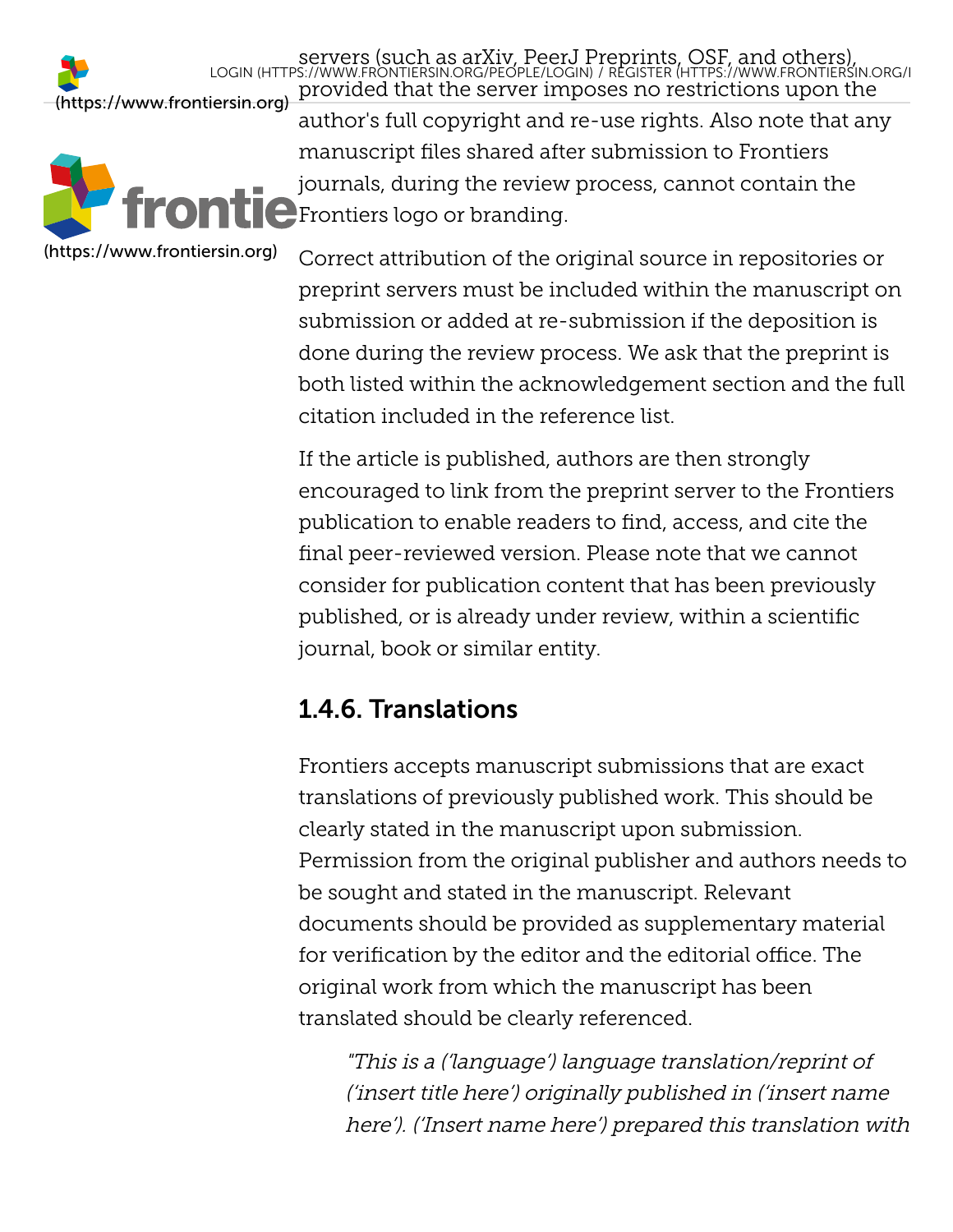servers (such as arXiv, PeerJ Pr[eprints, OSF, and others\),](https://www.frontiersin.org/register)<br>LOGIN [\(HTTPS://WWW.FRONTIERSIN.ORG/PEOPLE/LOGIN\)](https://www.frontiersin.org/people/login) / REGISTER (HTTPS://WWW.FRONTIERSIN.ORG/I



provided that the server imposes no restrictions upon the [\(https://www.frontiersin.org\)](https://www.frontiersin.org/) author's full copyright and re-use rights. Also note that any manuscript files shared after submission to Frontiers journals, during the review process, cannot contain the **Frontiers logo or branding.** 

> Correct attribution of the original source in repositories or preprint servers must be included within the manuscript on submission or added at re-submission if the deposition is done during the review process. We ask that the preprint is both listed within the acknowledgement section and the full citation included in the reference list.

If the article is published, authors are then strongly encouraged to link from the preprint server to the Frontiers publication to enable readers to find, access, and cite the final peer-reviewed version. Please note that we cannot consider for publication content that has been previously published, or is already under review, within a scientific journal, book or similar entity.

### <span id="page-8-0"></span>1.4.6. Translations

Frontiers accepts manuscript submissions that are exact translations of previously published work. This should be clearly stated in the manuscript upon submission. Permission from the original publisher and authors needs to be sought and stated in the manuscript. Relevant documents should be provided as supplementary material for verification by the editor and the editorial office. The original work from which the manuscript has been translated should be clearly referenced.

"This is a ('language') language translation/reprint of ('insert title here') originally published in ('insert name here'). ('Insert name here') prepared this translation with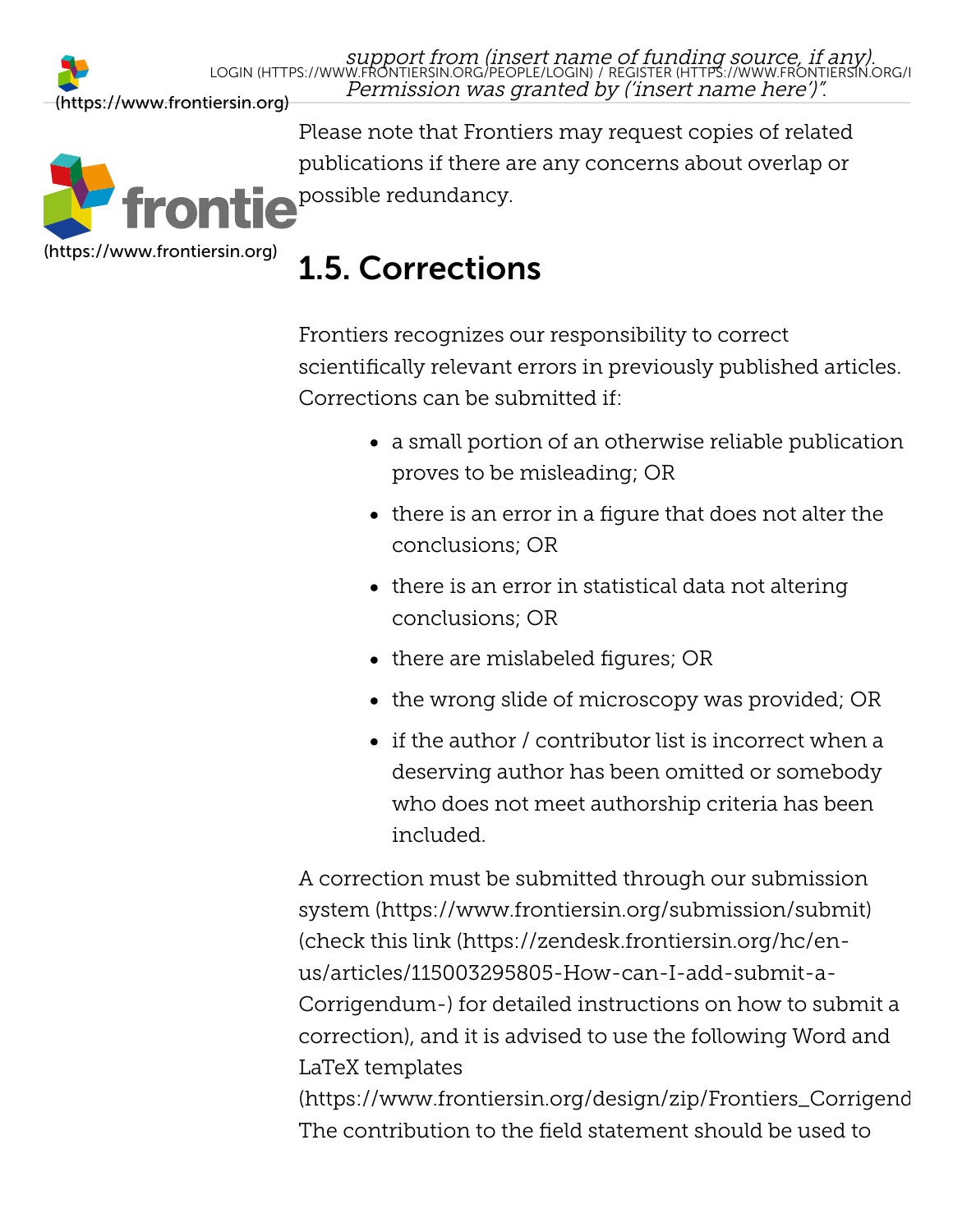

Please note that Frontiers may request copies of related publications if there are any concerns about overlap or **possible redundancy.** 

## <span id="page-9-0"></span>1.5. Corrections

Frontiers recognizes our responsibility to correct scientifically relevant errors in previously published articles. Corrections can be submitted if:

- a small portion of an otherwise reliable publication proves to be misleading; OR
- $\bullet$  there is an error in a figure that does not alter the conclusions; OR
- $\bullet$  there is an error in statistical data not altering conclusions; OR
- there are mislabeled figures; OR
- $\bullet$  the wrong slide of microscopy was provided; OR
- $\bullet$  if the author / contributor list is incorrect when a deserving author has been omitted or somebody who does not meet authorship criteria has been included.

A correction must be submitted through our submission [system \(https://www.frontiersin.org/submission/submit\)](https://www.frontiersin.org/submission/submit) (check this link (https://zendesk.frontiersin.org/hc/enus/articles/115003295805-How-can-I-add-submit-a-[Corrigendum-\) for detailed instructions on how to subm](https://zendesk.frontiersin.org/hc/en-us/articles/115003295805-How-can-I-add-submit-a-Corrigendum-)it a correction), and it is advised to use the following Word and LaTeX templates

[\(https://www.frontiersin.org/design/zip/Frontiers\\_Corrigend](https://www.frontiersin.org/design/zip/Frontiers_Corrigendum_Templates.zip) The contribution to the field statement should be used to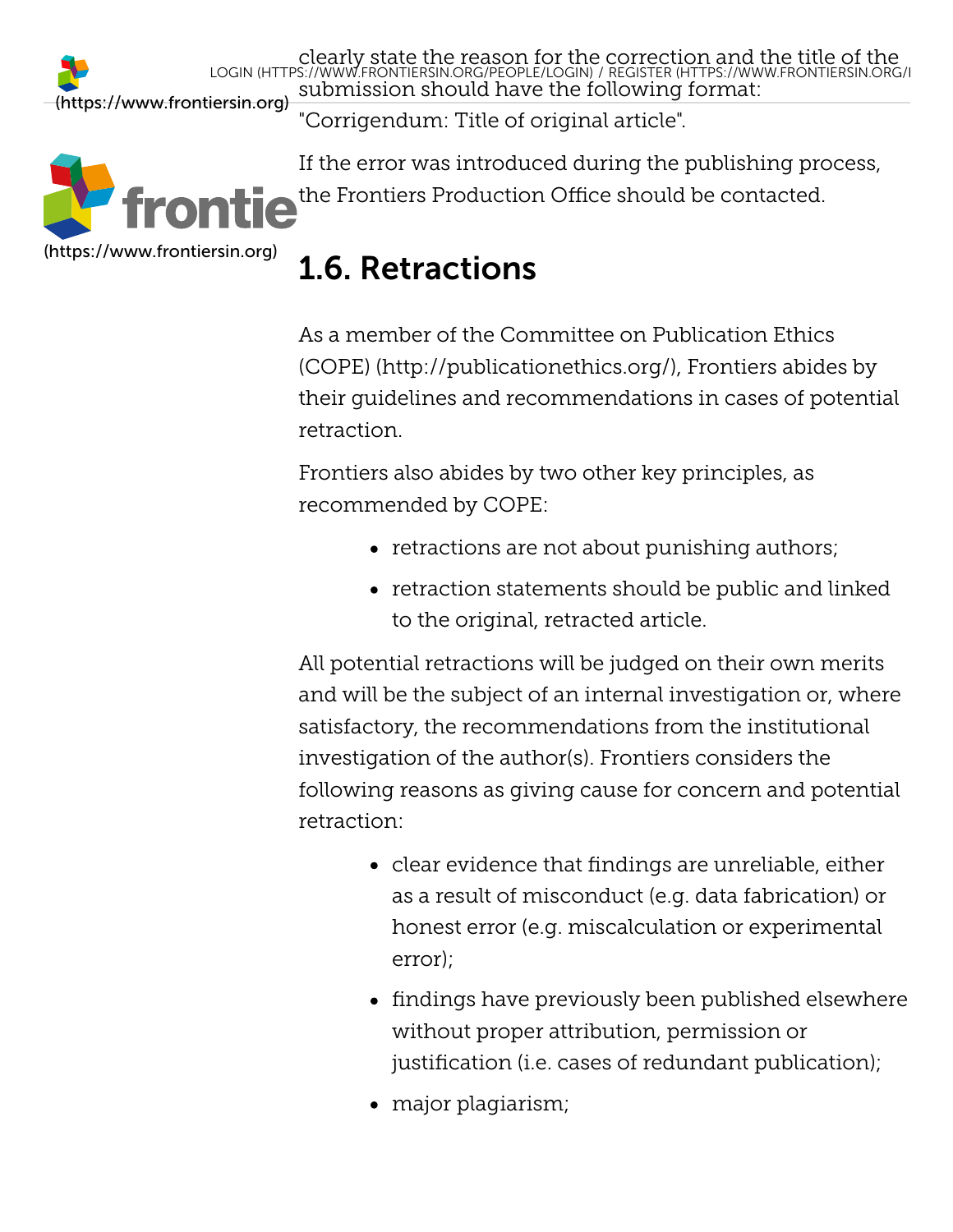clearly state the reason for the [correction and the title of the](https://www.frontiersin.org/register) submission should have the following format: [\(https://www.frontiersin.org\)](https://www.frontiersin.org/) LOGIN [\(HTTPS://WWW.FRONTIERSIN.ORG/PEOPLE/LOGIN\)](https://www.frontiersin.org/people/login) / REGISTER (HTTPS://WWW.FRONTIERSIN.ORG/R

"Corrigendum: Title of original article".



If the error was introduced during the publishing process, the Frontiers Production Office should be contacted.

## <span id="page-10-0"></span>1.6. Retractions

As a member of the Committee on Publication Ethics [\(COPE\) \(http://publicationethics.org/\), Frontiers abide](http://publicationethics.org/)s by their guidelines and recommendations in cases of potential retraction.

Frontiers also abides by two other key principles, as recommended by COPE:

- retractions are not about punishing authors;
- retraction statements should be public and linked to the original, retracted article.

All potential retractions will be judged on their own merits and will be the subject of an internal investigation or, where satisfactory, the recommendations from the institutional investigation of the author(s). Frontiers considers the following reasons as giving cause for concern and potential retraction:

- clear evidence that findings are unreliable, either as a result of misconduct (e.g. data fabrication) or honest error (e.g. miscalculation or experimental error);
- findings have previously been published elsewhere without proper attribution, permission or justification (i.e. cases of redundant publication);
- major plagiarism;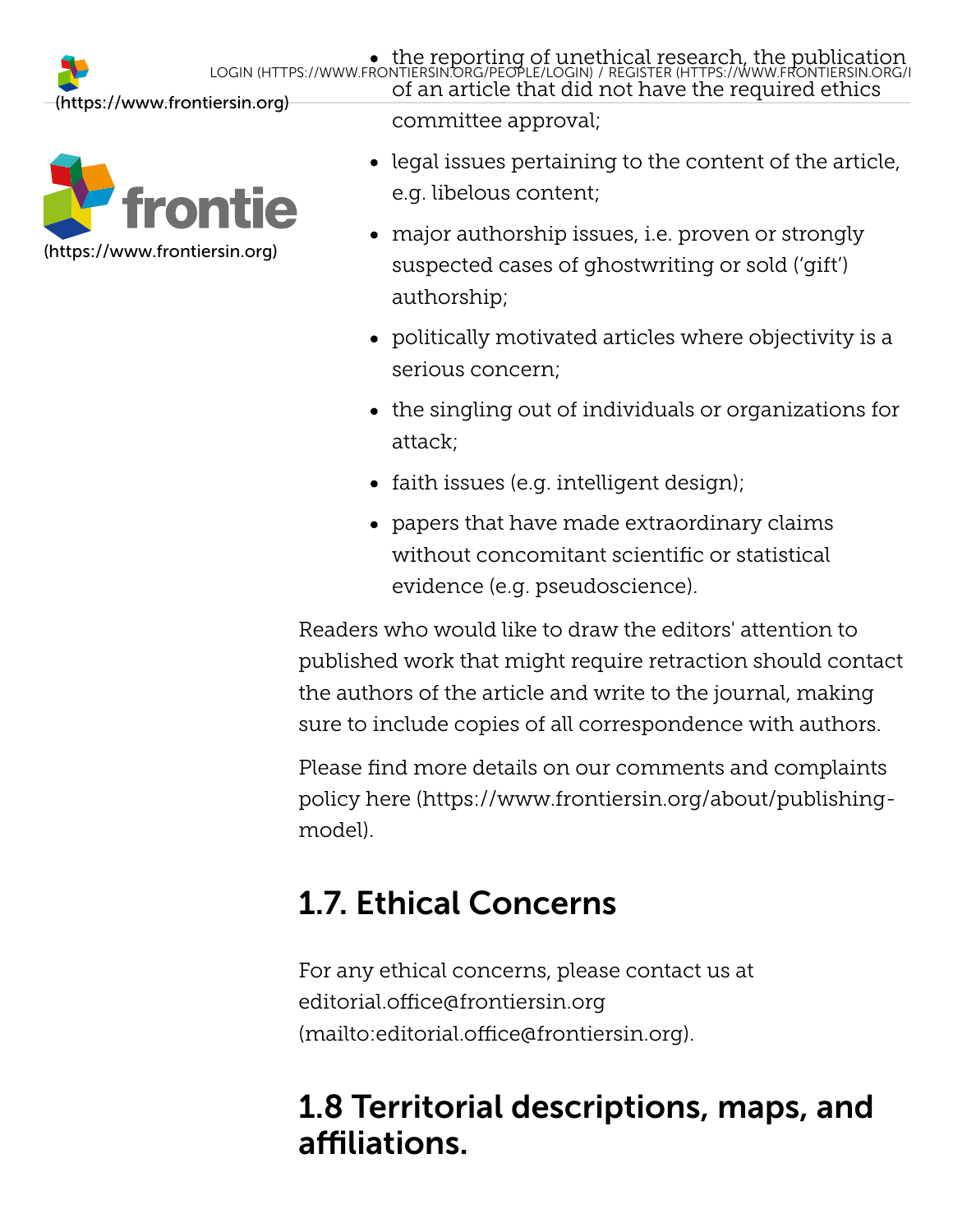



committee approval;

- $\bullet$  legal issues pertaining to the content of the article, e.g. libelous content;
- major authorship issues, i.e. proven or strongly suspected cases of ghostwriting or sold ('gift') authorship;
- politically motivated articles where objectivity is a serious concern;
- the singling out of individuals or organizations for attack;
- faith issues (e.g. intelligent design);
- papers that have made extraordinary claims without concomitant scientific or statistical evidence (e.g. pseudoscience).

Readers who would like to draw the editors' attention to published work that might require retraction should contact the authors of the article and write to the journal, making sure to include copies of all correspondence with authors.

Please find more details on our comments and complaints policy [here \(https://www.frontiersin.org/about/publishing](https://www.frontiersin.org/about/publishing-model)model).

# <span id="page-11-0"></span>1.7. Ethical Concerns

For any ethical concerns, please contact us at editorial.office@frontiersin.org [\(mailto:editorial.office@frontiersin.org\)](mailto:editorial.office@frontiersin.org).

## 1.8 Territorial descriptions, maps, and affiliations.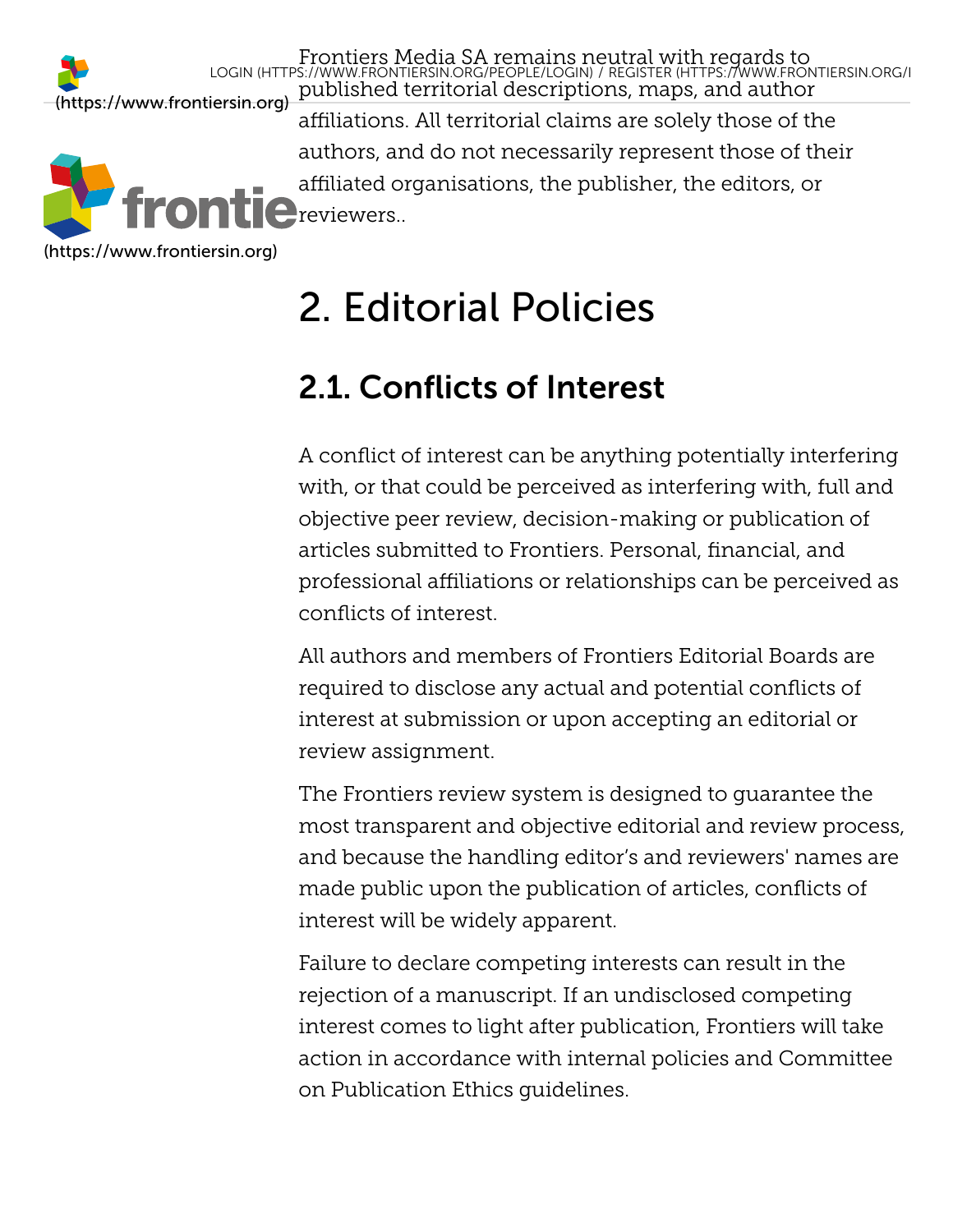Frontiers Media SA remains neutral with regards to published territorial descriptions, maps, and author [\(https://www.frontiersin.org\)](https://www.frontiersin.org/) affiliations. All territorial claims are solely those of the authors, and do not necessarily represent those of their affiliated organisations, the publisher, the editors, or  $C$ reviewers.. LOGIN [\(HTTPS://WWW.FRONTIERSIN.ORG/PEOPLE/LOGIN\)](https://www.frontiersin.org/people/login) / REGISTER [\(HTTPS://WWW.FRONTIERSIN.ORG/R](https://www.frontiersin.org/register)

[\(https://www.frontiersin.org\)](https://www.frontiersin.org/)

# <span id="page-12-0"></span>2. Editorial Policies

## <span id="page-12-1"></span>2.1. Conflicts of Interest

A conflict of interest can be anything potentially interfering with, or that could be perceived as interfering with, full and objective peer review, decision-making or publication of articles submitted to Frontiers. Personal, financial, and professional affiliations or relationships can be perceived as conflicts of interest.

All authors and members of Frontiers Editorial Boards are required to disclose any actual and potential conflicts of interest at submission or upon accepting an editorial or review assignment.

The Frontiers review system is designed to guarantee the most transparent and objective editorial and review process, and because the handling editor's and reviewers' names are made public upon the publication of articles, conflicts of interest will be widely apparent.

Failure to declare competing interests can result in the rejection of a manuscript. If an undisclosed competing interest comes to light after publication, Frontiers will take action in accordance with internal policies and Committee on Publication Ethics guidelines.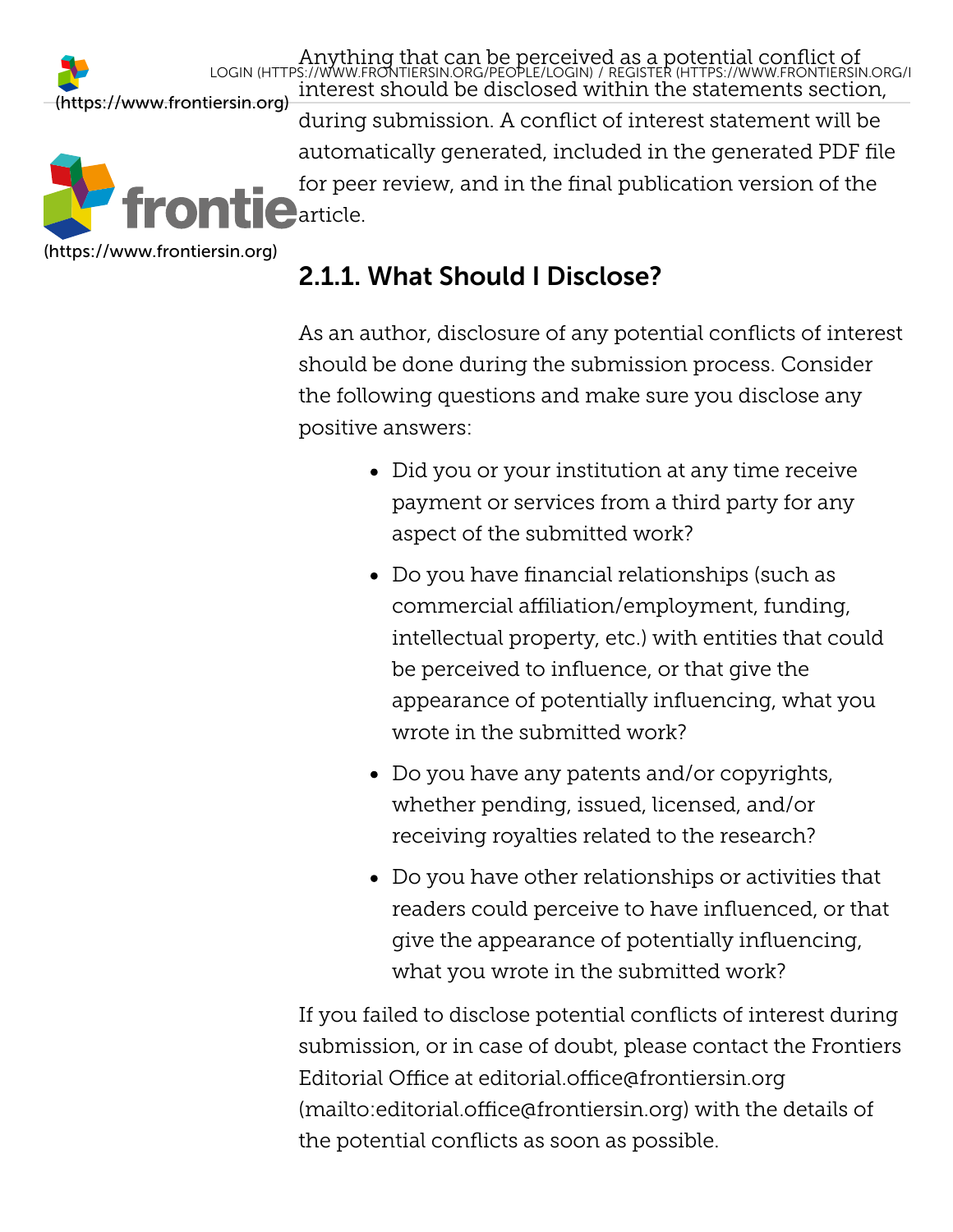Anything that can be perceive[d as a potential conflict of](https://www.frontiersin.org/register) interest should be disclosed within the statements section, during submission. A conflict of interest statement will be automatically generated, included in the generated PDF file for peer review, and in the final publication version of the  $\blacksquare$ article. [\(https://www.frontiersin.org\)](https://www.frontiersin.org/) LOGIN [\(HTTPS://WWW.FRONTIERSIN.ORG/PEOPLE/LOGIN\)](https://www.frontiersin.org/people/login) / REGISTER (HTTPS://WWW.FRONTIERSIN.ORG/R

[\(https://www.frontiersin.org\)](https://www.frontiersin.org/)

### <span id="page-13-0"></span>2.1.1. What Should I Disclose?

As an author, disclosure of any potential conflicts of interest should be done during the submission process. Consider the following questions and make sure you disclose any positive answers:

- Did you or your institution at any time receive payment or services from a third party for any aspect of the submitted work?
- Do you have financial relationships (such as commercial affiliation/employment, funding, intellectual property, etc.) with entities that could be perceived to influence, or that give the appearance of potentially influencing, what you wrote in the submitted work?
- Do you have any patents and/or copyrights, whether pending, issued, licensed, and/or receiving royalties related to the research?
- Do you have other relationships or activities that readers could perceive to have influenced, or that give the appearance of potentially influencing, what you wrote in the submitted work?

If you failed to disclose potential conflicts of interest during submission, or in case of doubt, please contact the Frontiers Editorial Office at editorial.office@frontiersin.org [\(mailto:editorial.office@frontiersin.org\) with the d](mailto:editorial.office@frontiersin.org)etails of the potential conflicts as soon as possible.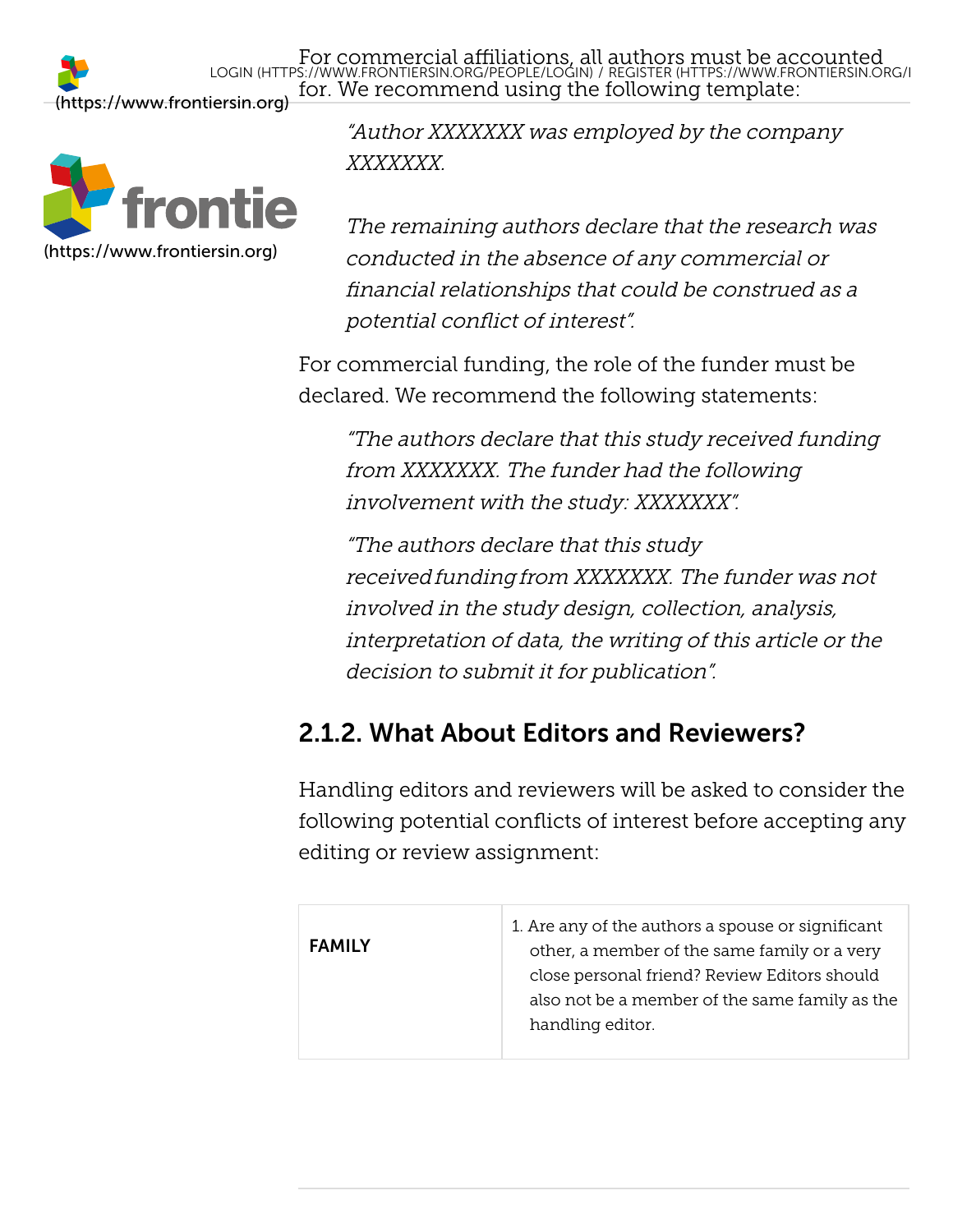For commercial affiliations, all [authors must be accounted](https://www.frontiersin.org/register) for. We recommend using the following template: LOGIN [\(HTTPS://WWW.FRONTIERSIN.ORG/PEOPLE/LOGIN\)](https://www.frontiersin.org/people/login) / REGISTER (HTTPS://WWW.FRONTIERSIN.ORG/R



"Author XXXXXXX was employed by the company XXXXXXX.

The remaining authors declare that the research was conducted in the absence of any commercial or financial relationships that could be construed as a potential conflict of interest".

For commercial funding, the role of the funder must be declared. We recommend the following statements:

"The authors declare that this study received funding from XXXXXXX. The funder had the following involvement with the study: XXXXXXX".

"The authors declare that this study received funding from XXXXXXX. The funder was not involved in the study design, collection, analysis, interpretation of data, the writing of this article or the decision to submit it for publication".

### <span id="page-14-0"></span>2.1.2. What About Editors and Reviewers?

Handling editors and reviewers will be asked to consider the following potential conflicts of interest before accepting any editing or review assignment:

| <b>FAMILY</b> | 1. Are any of the authors a spouse or significant<br>other, a member of the same family or a very<br>close personal friend? Review Editors should |
|---------------|---------------------------------------------------------------------------------------------------------------------------------------------------|
|               | also not be a member of the same family as the<br>handling editor.                                                                                |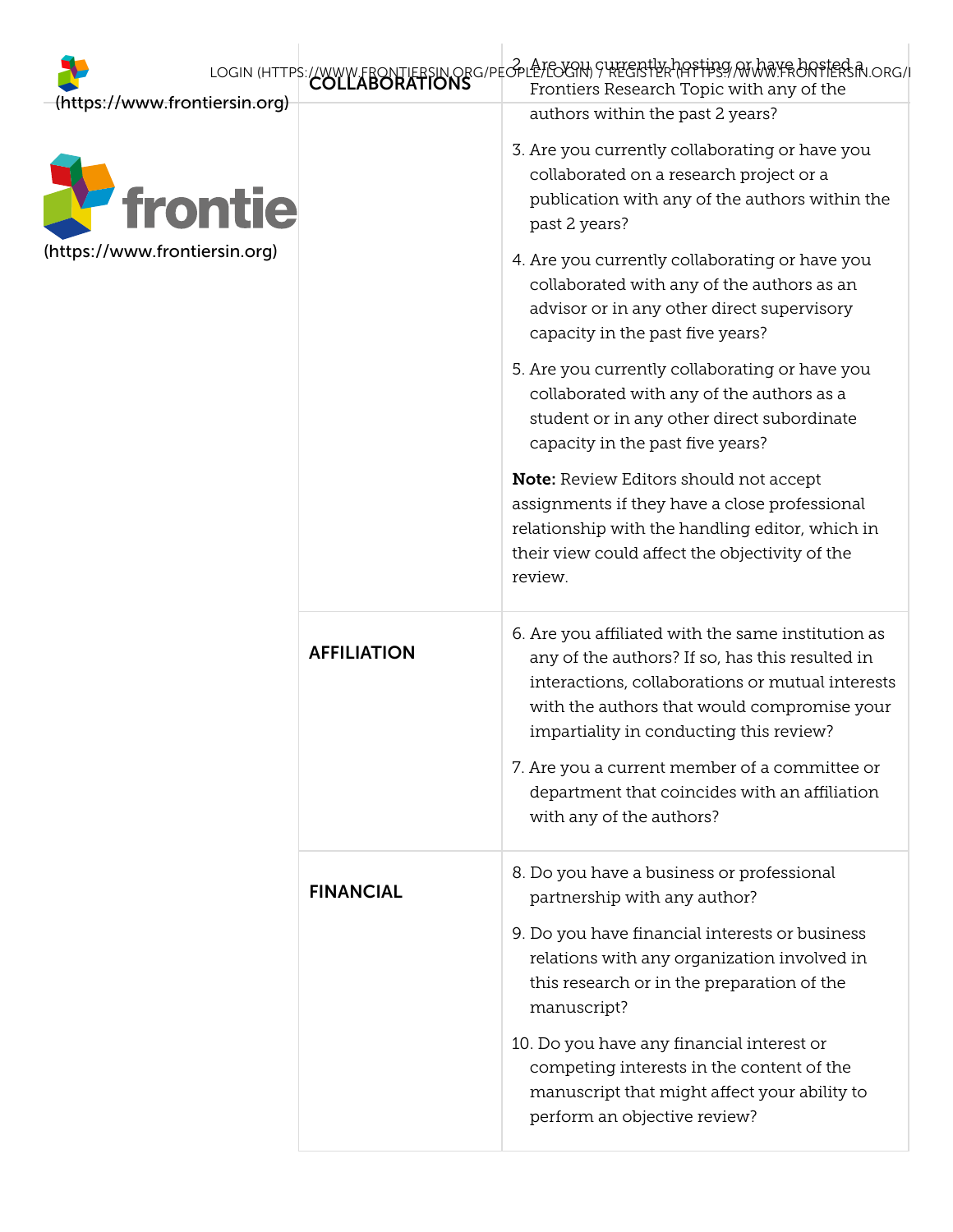<span id="page-15-0"></span>

| (https://www.frontiersin.org) |                    | LOGIN (HTTPS://WWW.FRONTIERSIN.ORG/PEOPLETEOGRH) SUFFERFUR PIAPFFIRSI/ ANDRE BRITERSIN.ORG/I<br>Frontiers Research Topic with any of the                                                                                                            |
|-------------------------------|--------------------|-----------------------------------------------------------------------------------------------------------------------------------------------------------------------------------------------------------------------------------------------------|
| <i><b>P</b></i> frontie       |                    | authors within the past 2 years?<br>3. Are you currently collaborating or have you<br>collaborated on a research project or a<br>publication with any of the authors within the<br>past 2 years?                                                    |
| (https://www.frontiersin.org) |                    | 4. Are you currently collaborating or have you<br>collaborated with any of the authors as an<br>advisor or in any other direct supervisory<br>capacity in the past five years?                                                                      |
|                               |                    | 5. Are you currently collaborating or have you<br>collaborated with any of the authors as a<br>student or in any other direct subordinate<br>capacity in the past five years?                                                                       |
|                               |                    | <b>Note:</b> Review Editors should not accept<br>assignments if they have a close professional<br>relationship with the handling editor, which in<br>their view could affect the objectivity of the<br>review.                                      |
|                               | <b>AFFILIATION</b> | 6. Are you affiliated with the same institution as<br>any of the authors? If so, has this resulted in<br>interactions, collaborations or mutual interests<br>with the authors that would compromise your<br>impartiality in conducting this review? |
|                               |                    | 7. Are you a current member of a committee or<br>department that coincides with an affiliation<br>with any of the authors?                                                                                                                          |
|                               | <b>FINANCIAL</b>   | 8. Do you have a business or professional<br>partnership with any author?                                                                                                                                                                           |
|                               |                    | 9. Do you have financial interests or business<br>relations with any organization involved in<br>this research or in the preparation of the<br>manuscript?                                                                                          |
|                               |                    | 10. Do you have any financial interest or<br>competing interests in the content of the<br>manuscript that might affect your ability to<br>perform an objective review?                                                                              |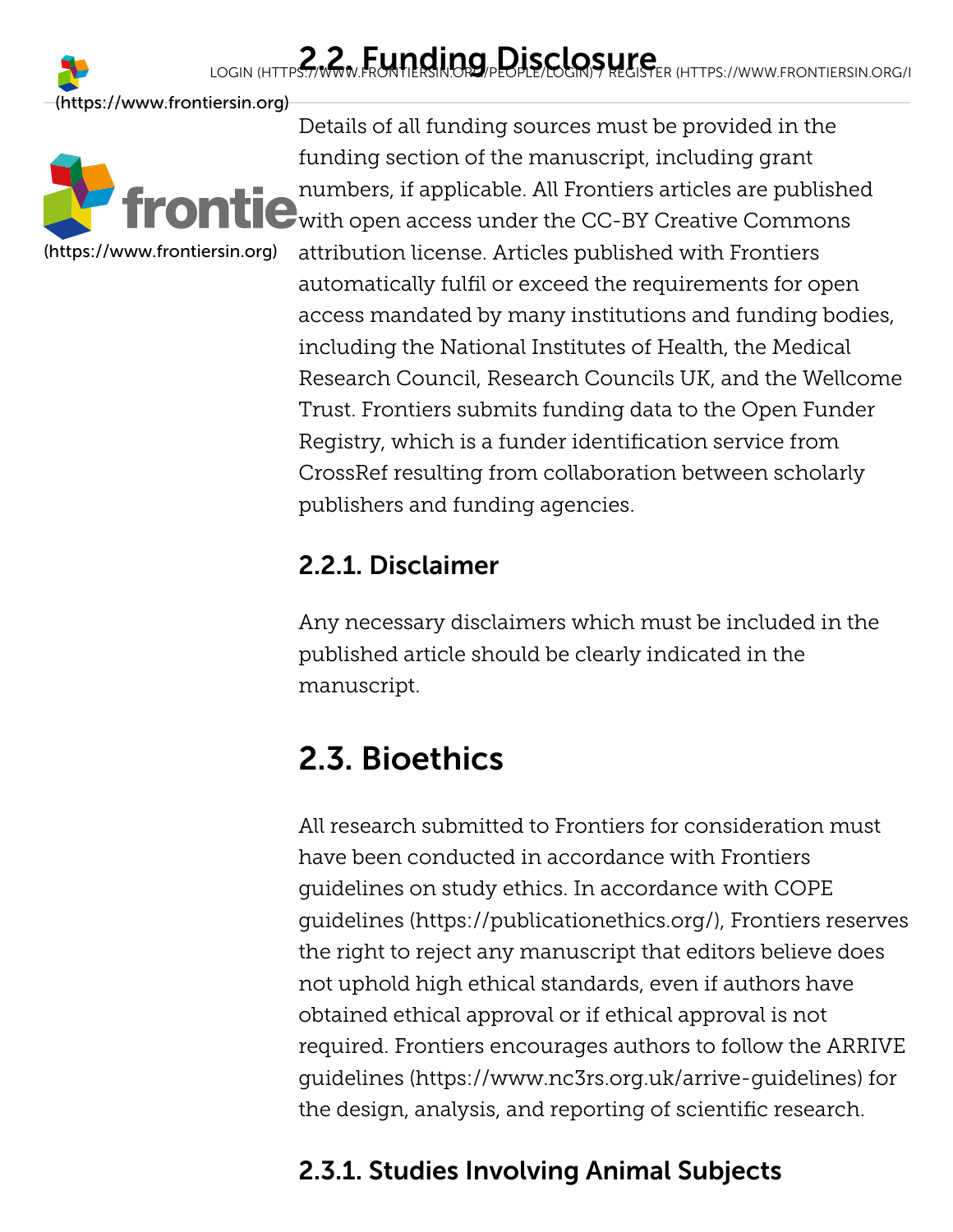# LOGIN [\(HTTPS://WWW.FRONTIERSIN.ORG/PEOPLE/LOGIN\)](https://www.frontiersin.org/people/login) REGISTER (HTTPS://WWW.FRONTIERSIN.ORG/I

[\(https://www.frontiersin.org\)](https://www.frontiersin.org/)



Details of all funding sources must be provided in the funding section of the manuscript, including grant numbers, if applicable. All Frontiers articles are published  $\bigcup_{w}$  with open access under the CC-BY Creative Commons attribution license. Articles published with Frontiers automatically fulfil or exceed the requirements for open access mandated by many institutions and funding bodies, including the National Institutes of Health, the Medical Research Council, Research Councils UK, and the Wellcome Trust. Frontiers submits funding data to the Open Funder Registry, which is a funder identification service from CrossRef resulting from collaboration between scholarly publishers and funding agencies.

### <span id="page-16-0"></span>2.2.1. Disclaimer

Any necessary disclaimers which must be included in the published article should be clearly indicated in the manuscript.

## <span id="page-16-1"></span>2.3. Bioethics

All research submitted to Frontiers for consideration must have been conducted in accordance with Frontiers guidelines on study ethics. In accordance with COPE [guidelines \(https://publicationethics.org/\), Frontiers r](https://publicationethics.org/)eserves the right to reject any manuscript that editors believe does not uphold high ethical standards, even if authors have obtained ethical approval or if ethical approval is not required. Frontiers encourages authors to follow the ARRIVE [guidelines \(https://www.nc3rs.org.uk/arrive-guidelines\) for](https://www.nc3rs.org.uk/arrive-guidelines) the design, analysis, and reporting of scientific research.

### <span id="page-16-2"></span>2.3.1. Studies Involving Animal Subjects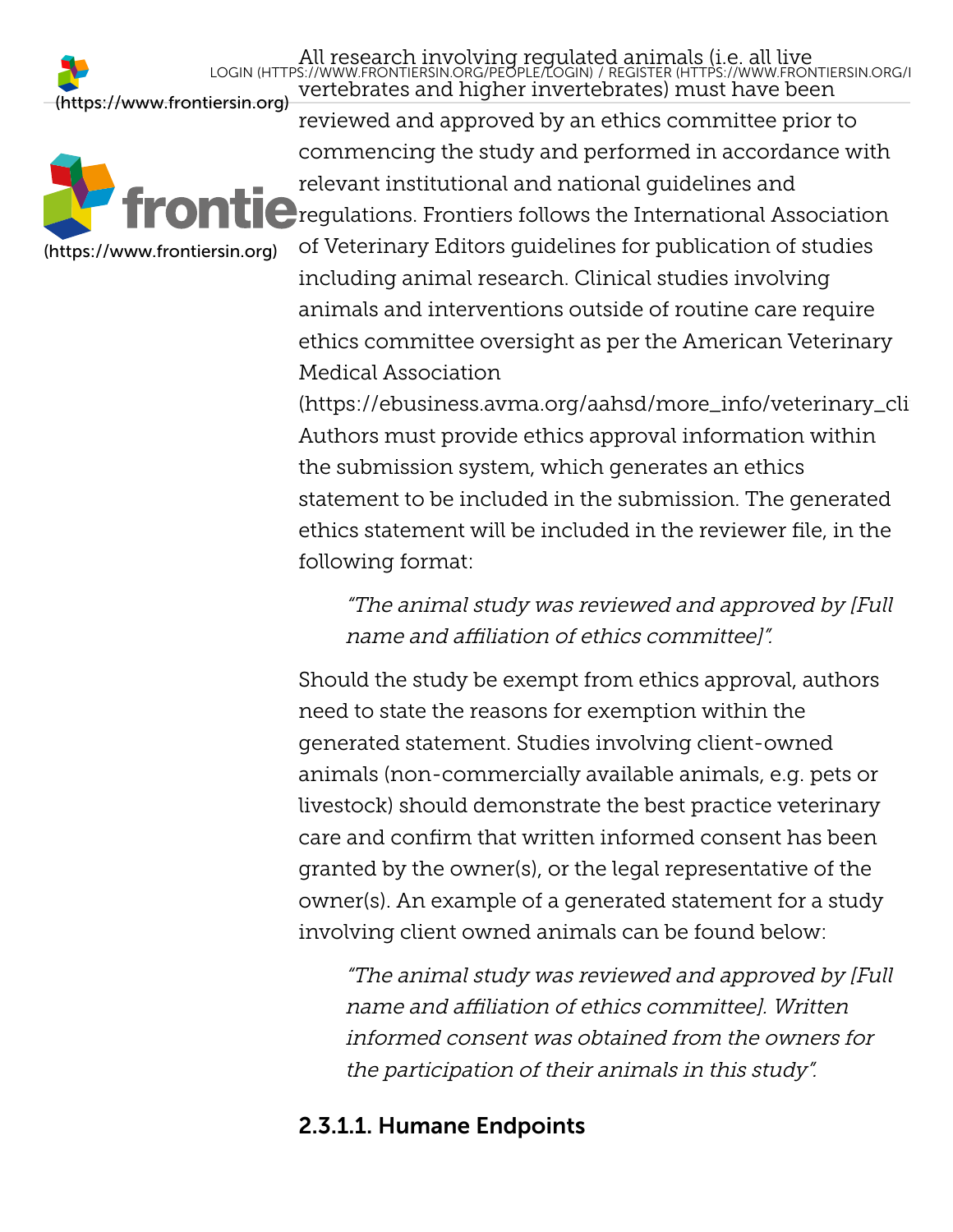

All research involving regulated animals (i.e. all live vertebrates and higher invertebrates) must have been [\(https://www.frontiersin.org\)](https://www.frontiersin.org/) reviewed and approved by an ethics committee prior to commencing the study and performed in accordance with relevant institutional and national guidelines and  $\bigcirc$  regulations. Frontiers follows the International Association of Veterinary Editors guidelines for publication of studies LOGIN [\(HTTPS://WWW.FRONTIERSIN.ORG/PEOPLE/LOGIN\)](https://www.frontiersin.org/people/login) / REGISTER [\(HTTPS://WWW.FRONTIERSIN.ORG/R](https://www.frontiersin.org/register)

including animal research. Clinical studies involving animals and interventions outside of routine care require ethics committee oversight as per the American Veterinary Medical Association

[\(https://ebusiness.avma.org/aahsd/more\\_info/veterinary\\_clin](https://ebusiness.avma.org/aahsd/more_info/veterinary_clinical_studies.aspx) Authors must provide ethics approval information within the submission system, which generates an ethics statement to be included in the submission. The generated ethics statement will be included in the reviewer file, in the following format:

"The animal study was reviewed and approved by [Full name and affiliation of ethics committee]".

Should the study be exempt from ethics approval, authors need to state the reasons for exemption within the generated statement. Studies involving client-owned animals (non-commercially available animals, e.g. pets or livestock) should demonstrate the best practice veterinary care and confirm that written informed consent has been granted by the owner(s), or the legal representative of the owner(s). An example of a generated statement for a study involving client owned animals can be found below:

"The animal study was reviewed and approved by [Full name and affiliation of ethics committee]. Written informed consent was obtained from the owners for the participation of their animals in this study".

### <span id="page-17-0"></span>2.3.1.1. Humane Endpoints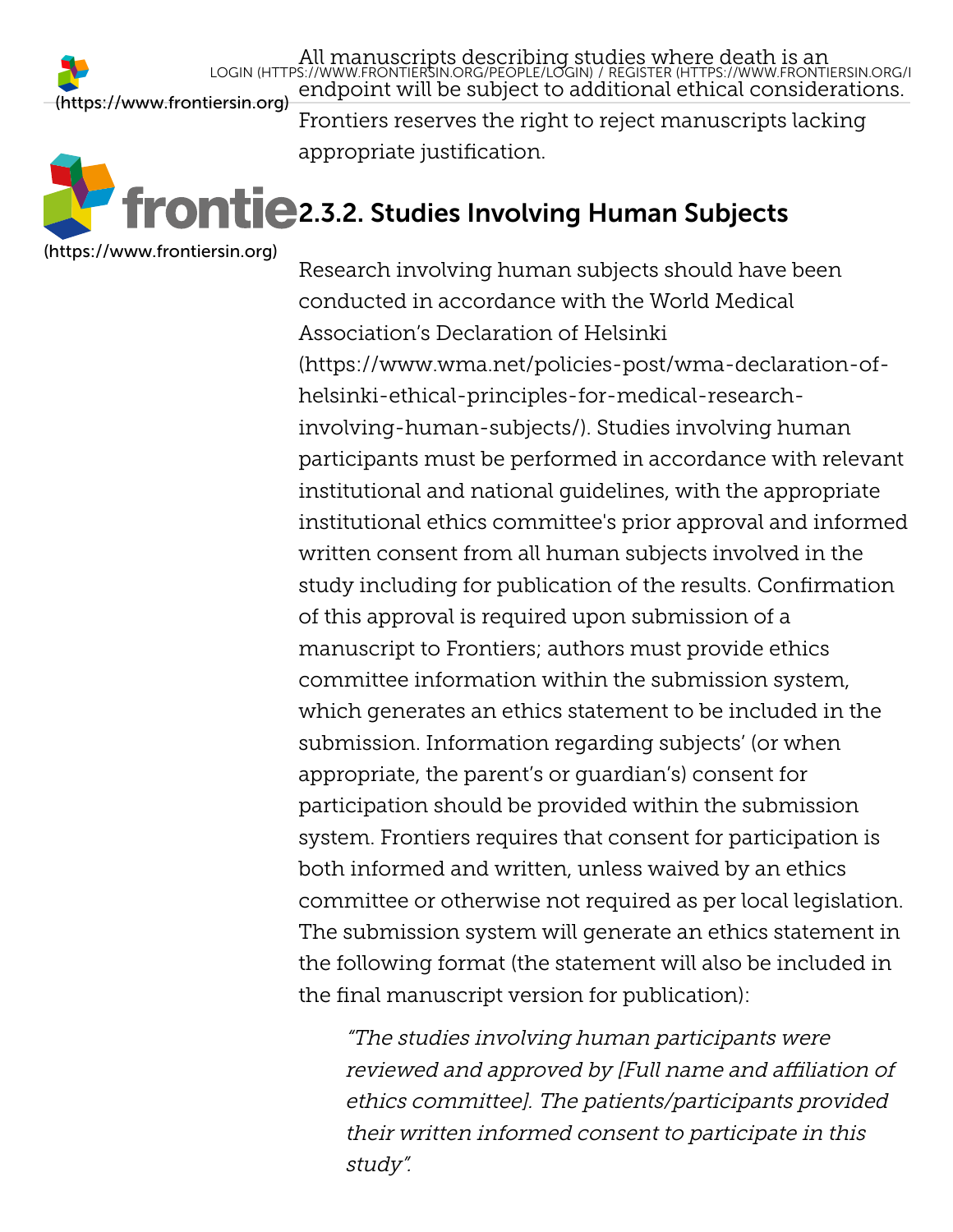All manuscripts describing studies where death is an endpoint will be subject to add[itional ethical considerations.](https://www.frontiersin.org/register) Frontiers reserves the right to reject manuscripts lacking appropriate justification. LOGIN [\(HTTPS://WWW.FRONTIERSIN.ORG/PEOPLE/LOGIN\)](https://www.frontiersin.org/people/login) / REGISTER (HTTPS://WWW.FRONTIERSIN.ORG/R

# **Frontie** 2.3.2. Studies Involving Human Subjects

[\(https://www.frontiersin.org\)](https://www.frontiersin.org/)

<span id="page-18-0"></span>Research involving human subjects should have been conducted in accordance with the World Medical Association's Declaration of Helsinki [\(https://www.wma.net/policies-post/wma-declaration-of](https://www.wma.net/policies-post/wma-declaration-of-helsinki-ethical-principles-for-medical-research-involving-human-subjects/)helsinki-ethical-principles-for-medical-researchinvolving-human-subjects/). Studies involving human participants must be performed in accordance with relevant institutional and national guidelines, with the appropriate institutional ethics committee's prior approval and informed written consent from all human subjects involved in the study including for publication of the results. Confirmation of this approval is required upon submission of a manuscript to Frontiers; authors must provide ethics committee information within the submission system, which generates an ethics statement to be included in the submission. Information regarding subjects' (or when appropriate, the parent's or guardian's) consent for participation should be provided within the submission system. Frontiers requires that consent for participation is both informed and written, unless waived by an ethics committee or otherwise not required as per local legislation. The submission system will generate an ethics statement in the following format (the statement will also be included in the final manuscript version for publication):

"The studies involving human participants were reviewed and approved by [Full name and affiliation of ethics committee]. The patients/participants provided their written informed consent to participate in this study".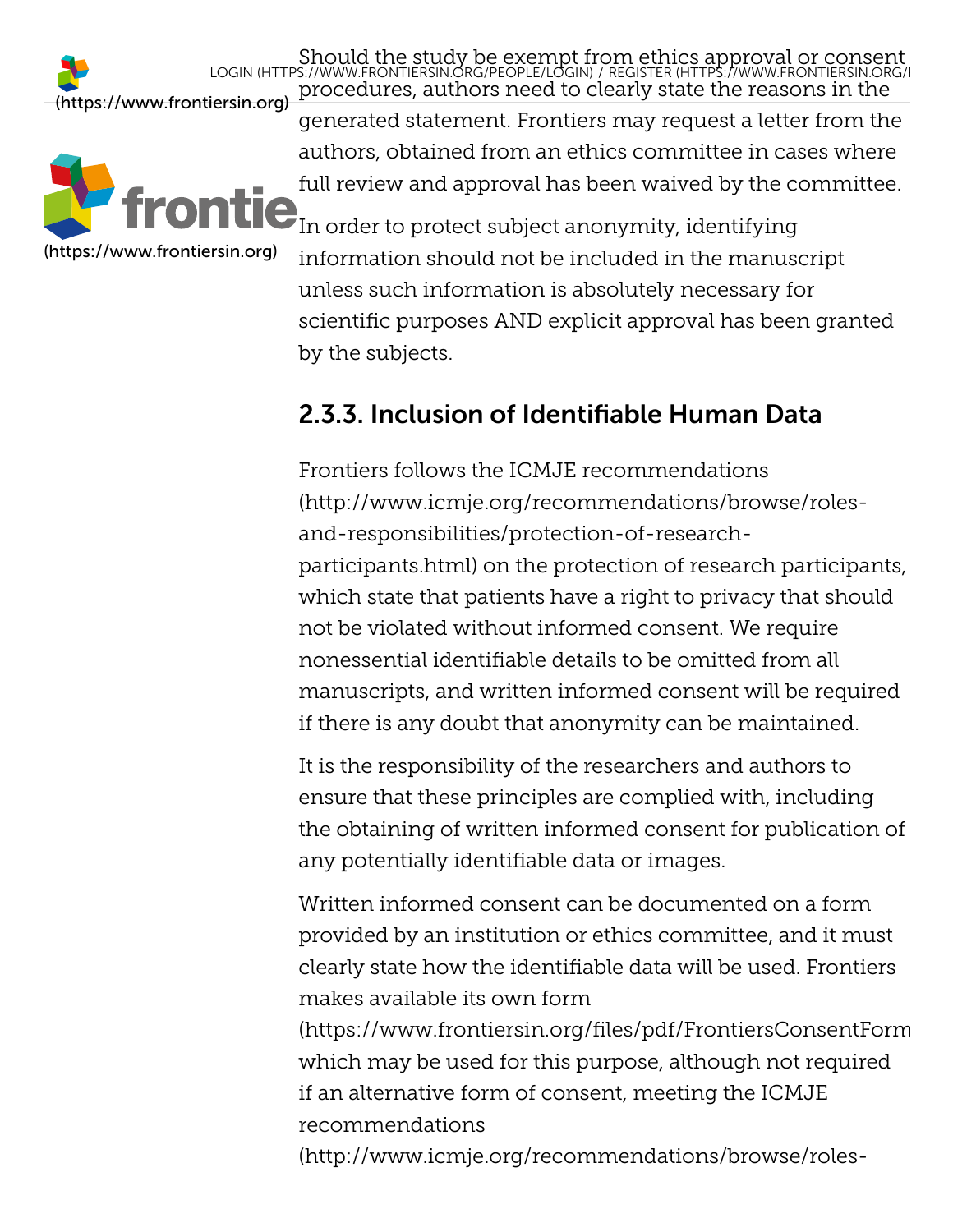LOGIN [\(HTTPS://WWW.FRONTIERSIN.ORG/PEOPLE/LOGIN\)](https://www.frontiersin.org/people/login) / REGISTER (HTTPS://WWW.FRONTIERSIN.ORG/R



procedures, authors need to clearly state the reasons in the [\(https://www.frontiersin.org\)](https://www.frontiersin.org/) generated statement. Frontiers may request a letter from the authors, obtained from an ethics committee in cases where full review and approval has been waived by the committee.  $\mathbf{P}_{\text{In order to protect subject anonymous}}$  anonymity, identifying information should not be included in the manuscript unless such information is absolutely necessary for scientific purposes AND explicit approval has been granted by the subjects.

Should the study be exempt fr[om ethics approval or consent](https://www.frontiersin.org/register)

### <span id="page-19-0"></span>2.3.3. Inclusion of Identifiable Human Data

Frontiers follows the ICMJE recommendations (http://www.icmje.org/recommendations/browse/rolesand-responsibilities/protection-of-research[participants.html\) on the protection of research participa](http://www.icmje.org/recommendations/browse/roles-and-responsibilities/protection-of-research-participants.html)nts, which state that patients have a right to privacy that should not be violated without informed consent. We require nonessential identifiable details to be omitted from all manuscripts, and written informed consent will be required if there is any doubt that anonymity can be maintained.

It is the responsibility of the researchers and authors to ensure that these principles are complied with, including the obtaining of written informed consent for publication of any potentially identifiable data or images.

Written informed consent can be documented on a form provided by an institution or ethics committee, and it must clearly state how the identifiable data will be used. Frontiers makes available its own form

[\(https://www.frontiersin.org/files/pdf/FrontiersConsentForm](https://www.frontiersin.org/files/pdf/FrontiersConsentForm.pdf) which may be used for this purpose, although not required if an alternative form of consent, meeting the ICMJE recommendations

[\(http://www.icmje.org/recommendations/browse/roles-](http://www.icmje.org/recommendations/browse/roles-and-responsibilities/protection-of-research-participants.html)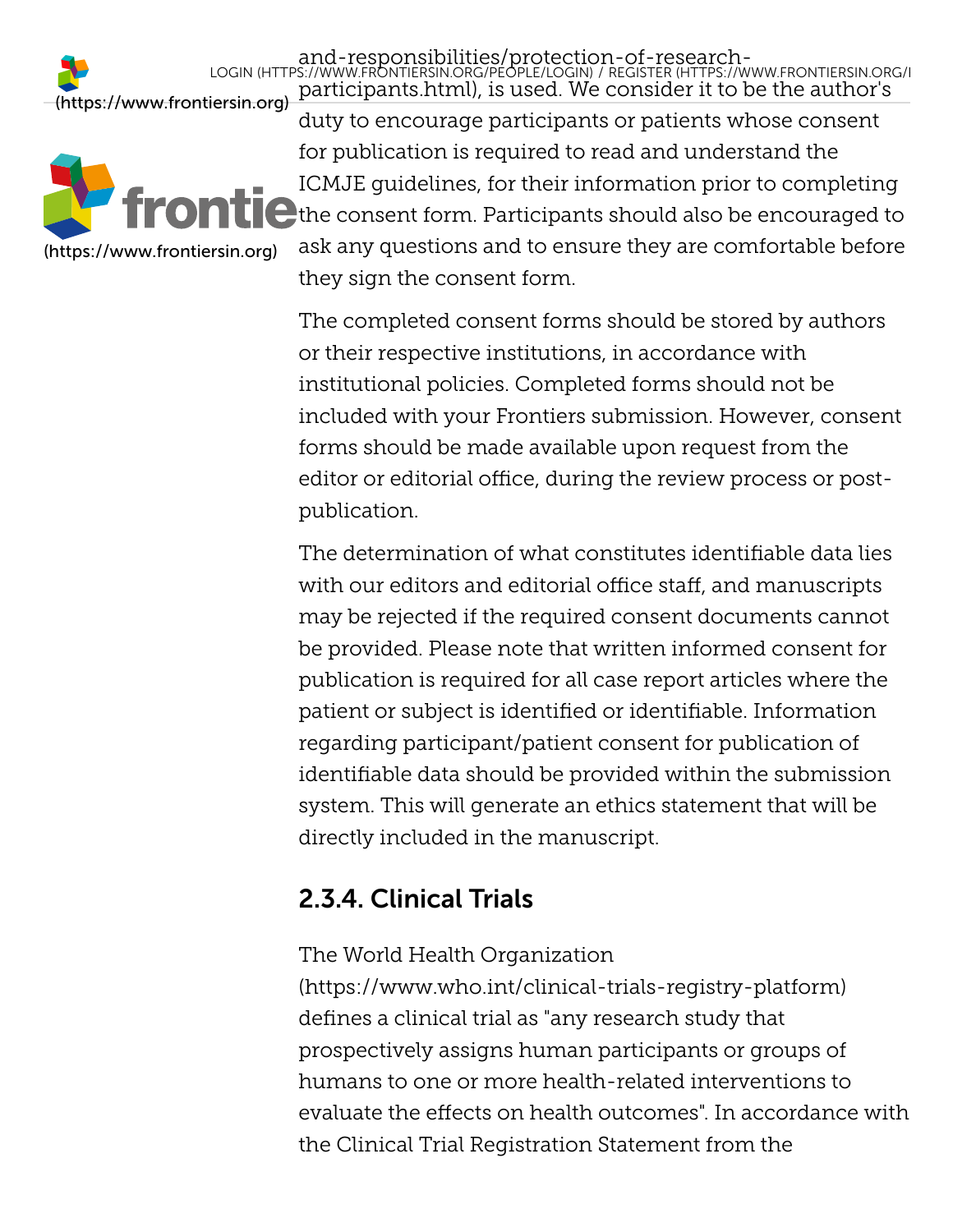LOGIN [\(HTTPS://WWW.FRONTIERSIN.ORG/PEOPLE/LOGIN\)](https://www.frontiersin.org/people/login) / REGISTER (HTTPS://WWW.FRONTIERSIN.ORG/R



[participants.html\), is used. We consider it to be the autho](http://www.icmje.org/recommendations/browse/roles-and-responsibilities/protection-of-research-participants.html)[r's](https://www.frontiersin.org/register) [\(https://www.frontiersin.org\)](https://www.frontiersin.org/) duty to encourage participants or patients whose consent for publication is required to read and understand the ICMJE guidelines, for their information prior to completing  $\bigcup$  the consent form. Participants should also be encouraged to ask any questions and to ensure they are comfortable before they sign the consent form.

and-responsibilities/protection-of-research-

The completed consent forms should be stored by authors or their respective institutions, in accordance with institutional policies. Completed forms should not be included with your Frontiers submission. However, consent forms should be made available upon request from the editor or editorial office, during the review process or postpublication.

The determination of what constitutes identifiable data lies with our editors and editorial office staff, and manuscripts may be rejected if the required consent documents cannot be provided. Please note that written informed consent for publication is required for all case report articles where the patient or subject is identified or identifiable. Information regarding participant/patient consent for publication of identifiable data should be provided within the submission system. This will generate an ethics statement that will be directly included in the manuscript.

### <span id="page-20-0"></span>2.3.4. Clinical Trials

The World Health Organization

[\(https://www.who.int/clinical-trials-registry-platform\)](https://www.who.int/clinical-trials-registry-platform) defines a clinical trial as "any research study that prospectively assigns human participants or groups of humans to one or more health-related interventions to evaluate the effects on health outcomes". In accordance with the Clinical Trial Registration Statement from the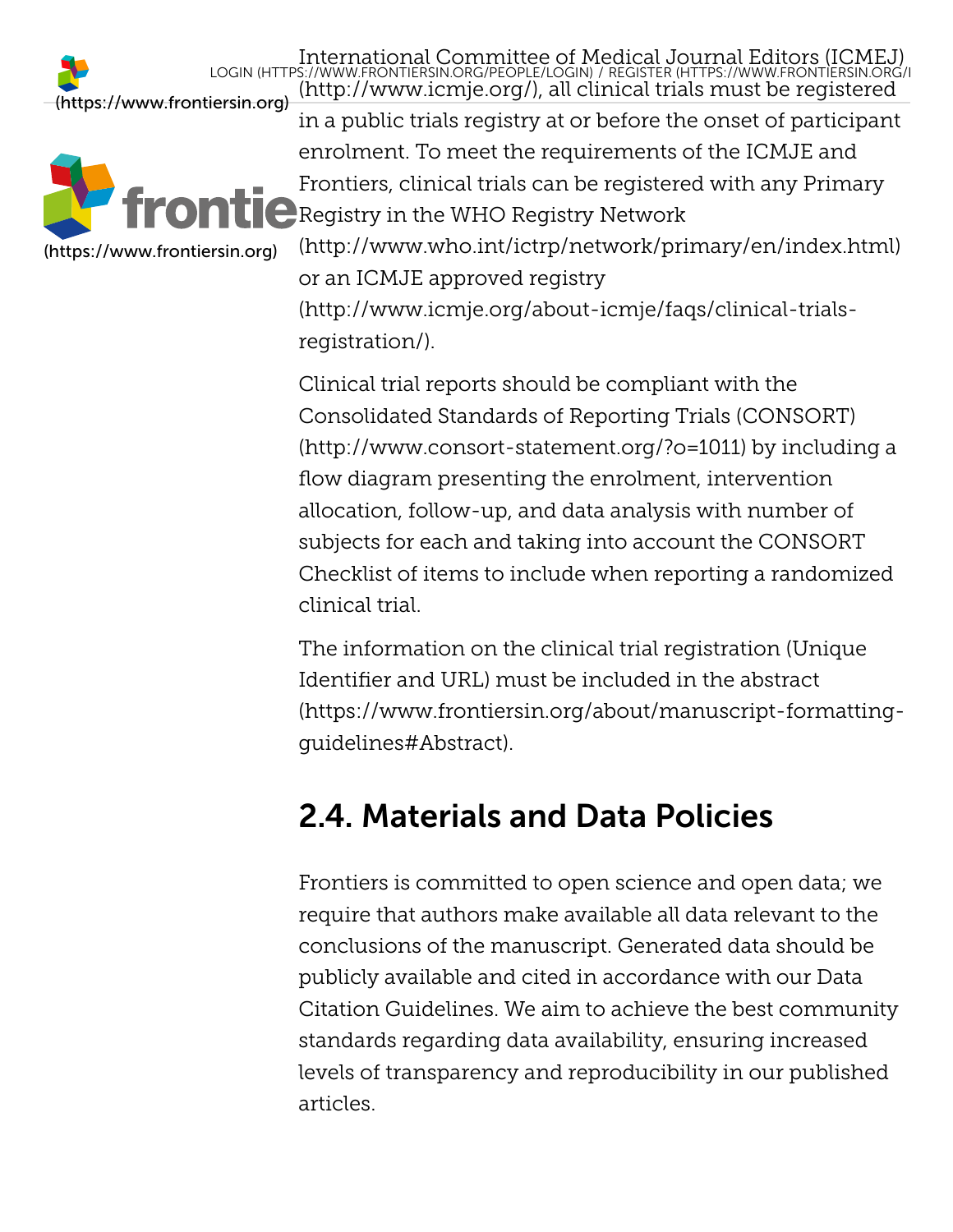

[International Committee of Medical Journal Editors \(ICMEJ\)](http://www.icmje.org/) (http://www.icmje.org/), all clinical trials must be registered in a public trials registry at or before the onset of participant enrolment. To meet the requirements of the ICMJE and Frontiers, clinical trials can be registered with any Primary **A** Registry in the WHO Registry Network [\(http://www.who.int/ictrp/network/primary/en/index.html\)](http://www.who.int/ictrp/network/primary/en/index.html) or an ICMJE approved registry LOGIN [\(HTTPS://WWW.FRONTIERSIN.ORG/PEOPLE/LOGIN\)](https://www.frontiersin.org/people/login) / REGISTER (HTTPS://WWW.FRONTIERSIN.ORG/R

[\(http://www.icmje.org/about-icmje/faqs/clinical-trials](http://www.icmje.org/about-icmje/faqs/clinical-trials-registration/)registration/).

Clinical trial reports should be compliant with the Consolidated Standards of Reporting Trials (CONSORT) [\(http://www.consort-statement.org/?o=1011\) by includin](http://www.consort-statement.org/?o=1011)g a flow diagram presenting the enrolment, intervention allocation, follow-up, and data analysis with number of subjects for each and taking into account the CONSORT Checklist of items to include when reporting a randomized clinical trial.

The information on the clinical trial registration (Unique Identifier and URL) must be included in the abstract [\(https://www.frontiersin.org/about/manuscript-formatting](https://www.frontiersin.org/about/manuscript-formatting-guidelines#Abstract)guidelines#Abstract).

## <span id="page-21-0"></span>2.4. Materials and Data Policies

Frontiers is committed to open science and open data; we require that authors make available all data relevant to the conclusions of the manuscript. Generated data should be publicly available and cited in accordance with our Data [Citation Guidelines. We aim to achieve the best commun](#page-24-0)ity standards regarding data availability, ensuring increased levels of transparency and reproducibility in our published articles.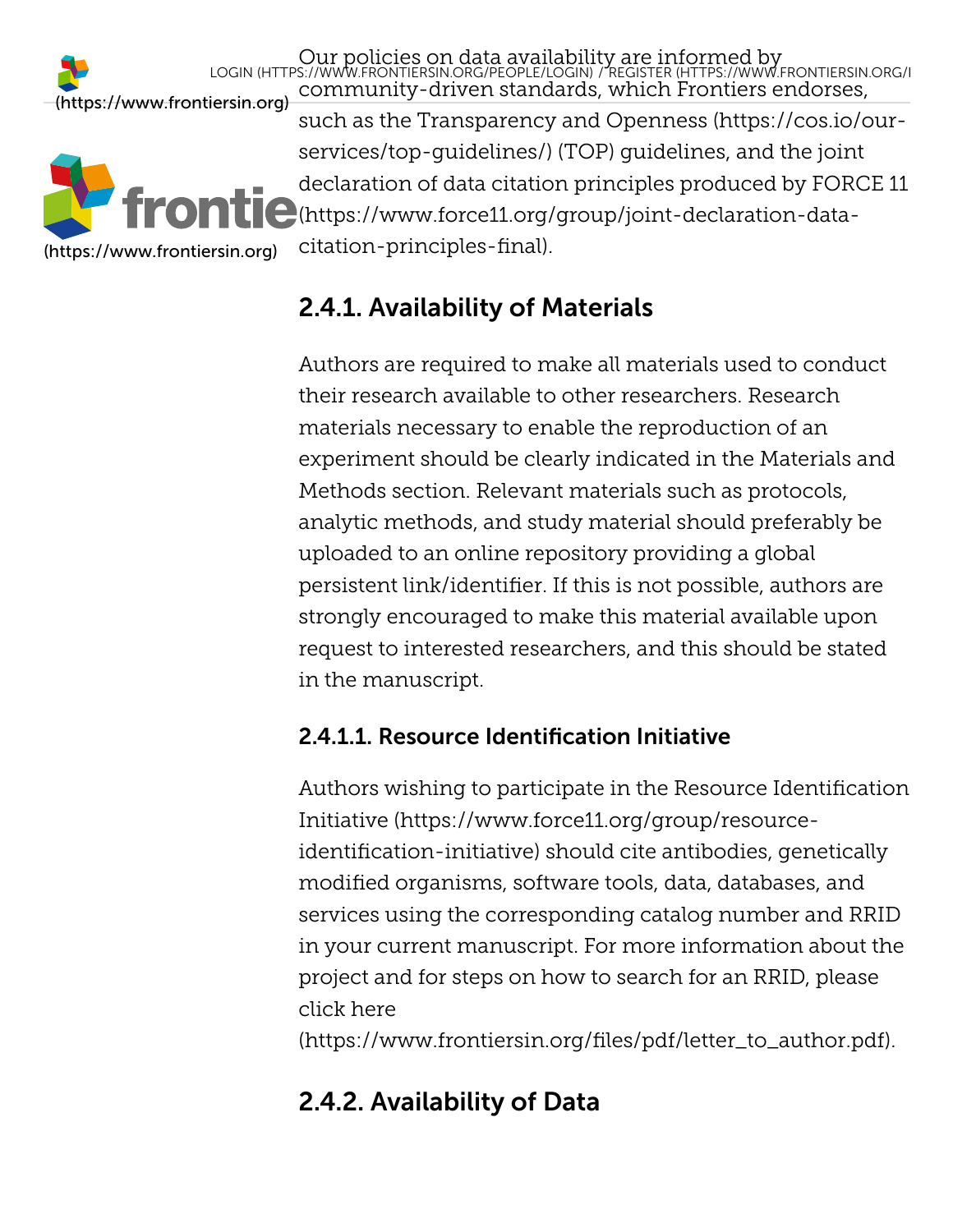

Our policies on data availability are informed by community-driven standards, which Frontiers endorses, such as the Transparency and Openness (https://cos.io/our[services/top-guidelines/\) \(TOP\) guidelines, and the joint](https://cos.io/our-services/top-guidelines/) declaration of data citation principles produced by FORCE 11 [\(https://www.force11.org/group/joint-declaration-data](https://www.force11.org/group/joint-declaration-data-citation-principles-final)citation-principles-final). LOGIN [\(HTTPS://WWW.FRONTIERSIN.ORG/PEOPLE/LOGIN\)](https://www.frontiersin.org/people/login) / REGISTER [\(HTTPS://WWW.FRONTIERSIN.ORG/R](https://www.frontiersin.org/register)

### <span id="page-22-0"></span>2.4.1. Availability of Materials

Authors are required to make all materials used to conduct their research available to other researchers. Research materials necessary to enable the reproduction of an experiment should be clearly indicated in the Materials and Methods section. Relevant materials such as protocols, analytic methods, and study material should preferably be uploaded to an online repository providing a global persistent link/identifier. If this is not possible, authors are strongly encouraged to make this material available upon request to interested researchers, and this should be stated in the manuscript.

### <span id="page-22-1"></span>2.4.1.1. Resource Identification Initiative

Authors wishing to participate in the Resource Identification Initiative (https://www.force11.org/group/resource[identification-initiative\) should cite antibodies, genetically](https://www.force11.org/group/resource-identification-initiative) modified organisms, software tools, data, databases, and services using the corresponding catalog number and RRID in your current manuscript. For more information about the project and for steps on how to search for an RRID, please click here

[\(https://www.frontiersin.org/files/pdf/letter\\_to\\_author.pdf\)](https://www.frontiersin.org/files/pdf/letter_to_author.pdf).

### <span id="page-22-2"></span>2.4.2. Availability of Data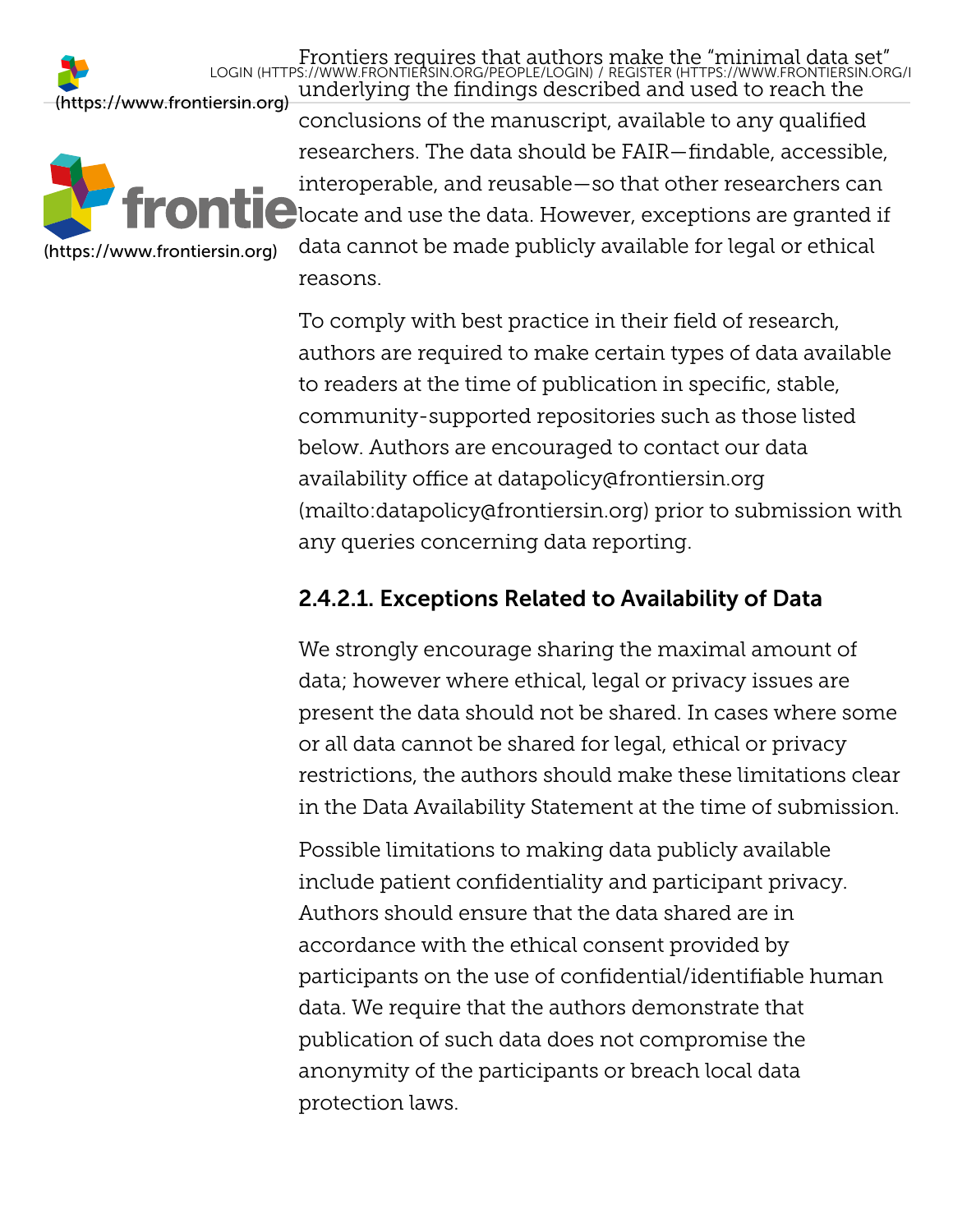

underlying the findings described and used to reach the [\(https://www.frontiersin.org\)](https://www.frontiersin.org/) conclusions of the manuscript, available to any qualified researchers. The data should be FAIR—findable, accessible, interoperable, and reusable—so that other researchers can  $\Box$  locate and use the data. However, exceptions are granted if data cannot be made publicly available for legal or ethical reasons. LOGIN [\(HTTPS://WWW.FRONTIERSIN.ORG/PEOPLE/LOGIN\)](https://www.frontiersin.org/people/login) / REGISTER (HTTPS://WWW.FRONTIERSIN.ORG/R

Frontiers requires that authors [make the "minimal data set"](https://www.frontiersin.org/register)

To comply with best practice in their field of research, authors are required to make certain types of data available to readers at the time of publication in specific, stable, community-supported repositories such as those listed below. Authors are encouraged to contact our data availability office at datapolicy@frontiersin.org [\(mailto:datapolicy@frontiersin.org\) prior to sub](mailto:datapolicy@frontiersin.org)mission with any queries concerning data reporting.

### <span id="page-23-0"></span>2.4.2.1. Exceptions Related to Availability of Data

We strongly encourage sharing the maximal amount of data; however where ethical, legal or privacy issues are present the data should not be shared. In cases where some or all data cannot be shared for legal, ethical or privacy restrictions, the authors should make these limitations clear in the Data Availability Statement at the time of submission.

Possible limitations to making data publicly available include patient confidentiality and participant privacy. Authors should ensure that the data shared are in accordance with the ethical consent provided by participants on the use of confidential/identifiable human data. We require that the authors demonstrate that publication of such data does not compromise the anonymity of the participants or breach local data protection laws.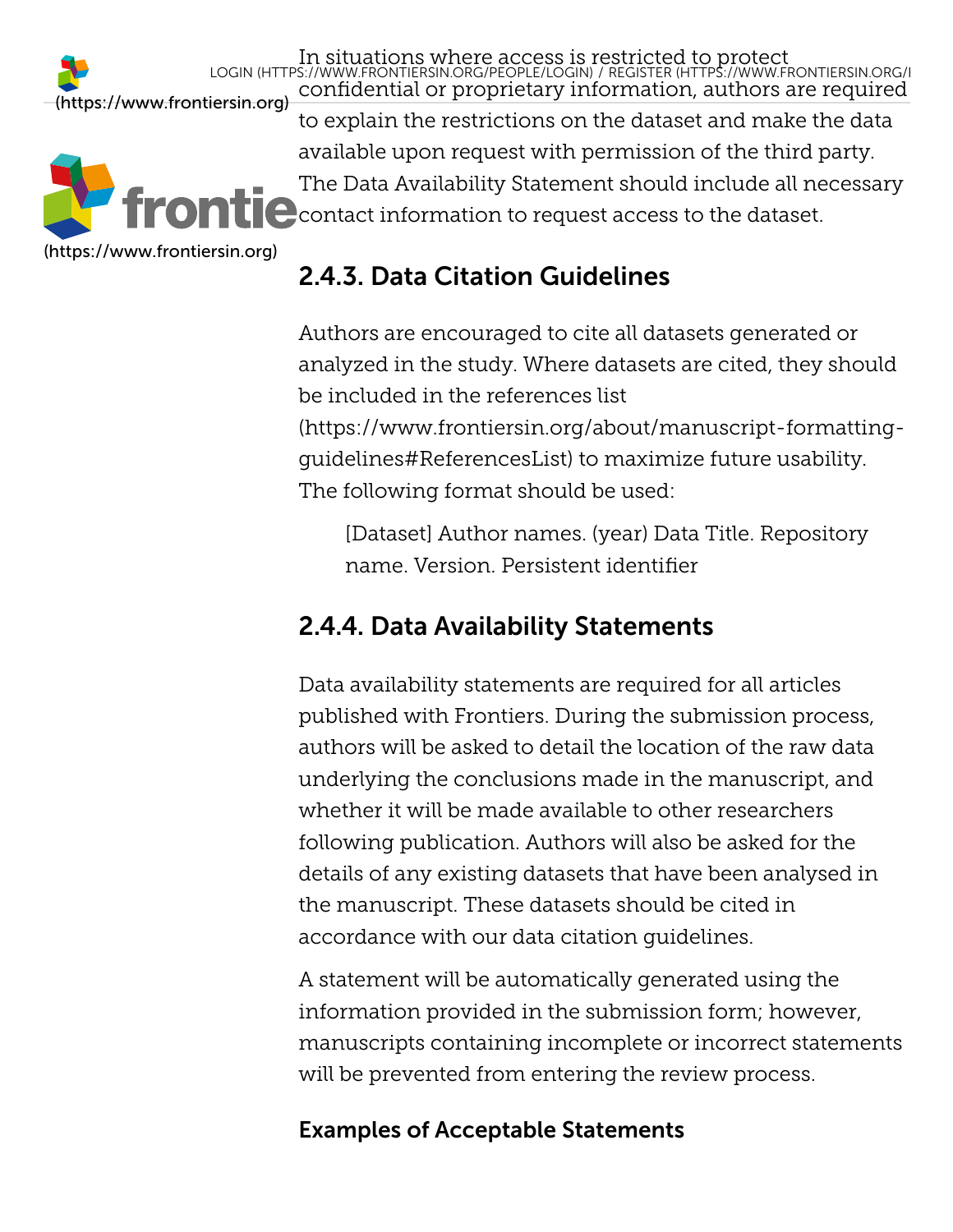In situations where access is restricted to protect [\(https://www.frontiersin.org\)](https://www.frontiersin.org/)



confidential or proprietary inf[ormation, authors are required](https://www.frontiersin.org/register) to explain the restrictions on the dataset and make the data available upon request with permission of the third party. The Data Availability Statement should include all necessary  $\begin{array}{l} \begin{array}{l} \text{\textbf{C}} \end{array}$  contact information to request access to the dataset. LOGIN [\(HTTPS://WWW.FRONTIERSIN.ORG/PEOPLE/LOGIN\)](https://www.frontiersin.org/people/login) / REGISTER (HTTPS://WWW.FRONTIERSIN.ORG/R

## <span id="page-24-0"></span>2.4.3. Data Citation Guidelines

Authors are encouraged to cite all datasets generated or analyzed in the study. Where datasets are cited, they should be included in the references list

[\(https://www.frontiersin.org/about/manuscript-formatting](https://www.frontiersin.org/about/manuscript-formatting-guidelines#ReferencesList)guidelines#ReferencesList) to maximize future usability. The following format should be used:

[Dataset] Author names. (year) Data Title. Repository name. Version. Persistent identifier

## <span id="page-24-1"></span>2.4.4. Data Availability Statements

Data availability statements are required for all articles published with Frontiers. During the submission process, authors will be asked to detail the location of the raw data underlying the conclusions made in the manuscript, and whether it will be made available to other researchers following publication. Authors will also be asked for the details of any existing datasets that have been analysed in the manuscript. These datasets should be cited in accordance with our data citation guidelines.

A statement will be automatically generated using the information provided in the submission form; however, manuscripts containing incomplete or incorrect statements will be prevented from entering the review process.

### Examples of Acceptable Statements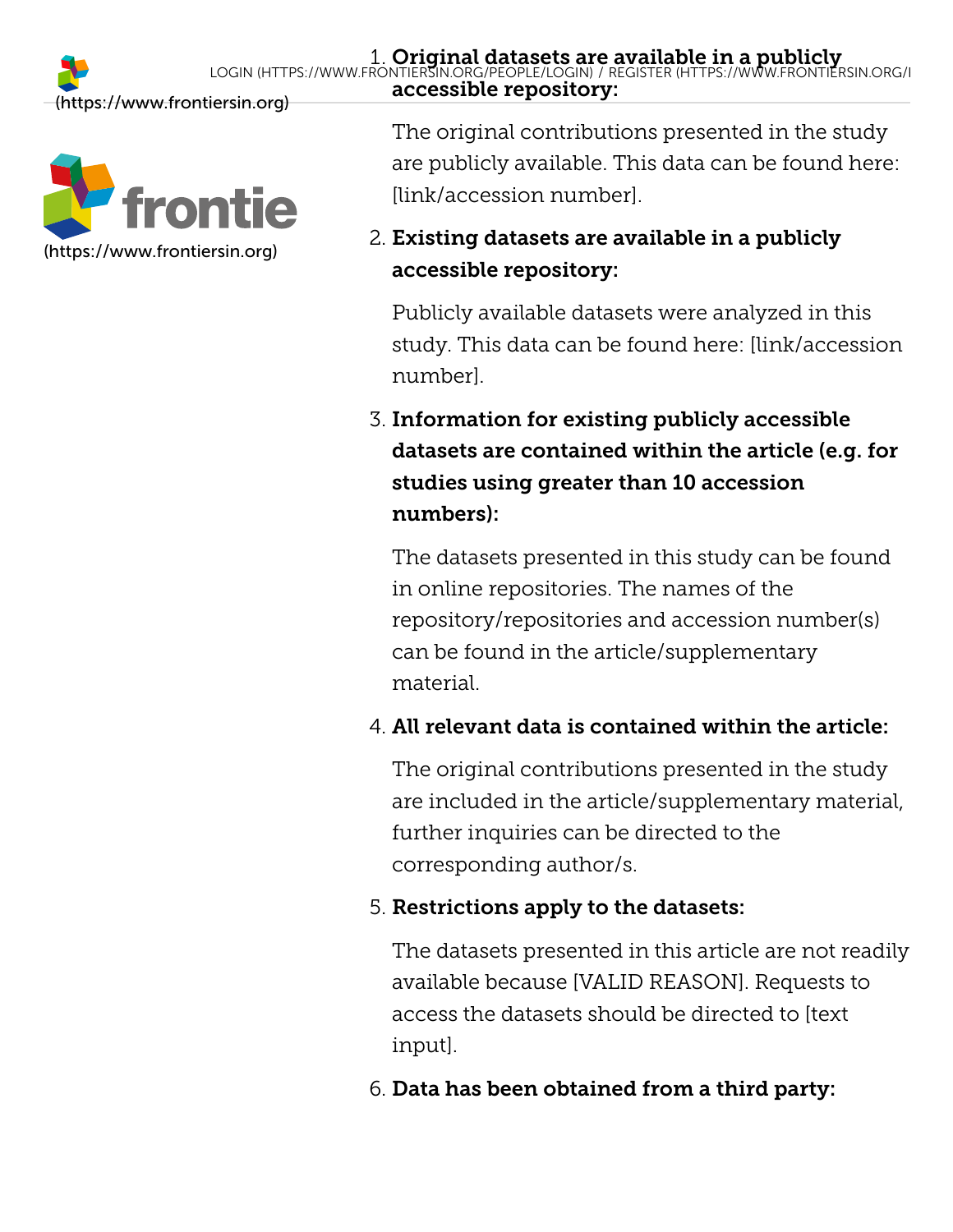

The original contributions presented in the study are publicly available. This data can be found here: [link/accession number].

### 2. Existing datasets are available in a publicly accessible repository:

Publicly available datasets were analyzed in this study. This data can be found here: [link/accession number].

### 3. Information for existing publicly accessible datasets are contained within the article (e.g. for studies using greater than 10 accession numbers):

The datasets presented in this study can be found in online repositories. The names of the repository/repositories and accession number(s) can be found in the article/supplementary material.

### 4. All relevant data is contained within the article:

The original contributions presented in the study are included in the article/supplementary material, further inquiries can be directed to the corresponding author/s.

### 5. Restrictions apply to the datasets:

The datasets presented in this article are not readily available because [VALID REASON]. Requests to access the datasets should be directed to [text input].

### 6. Data has been obtained from a third party: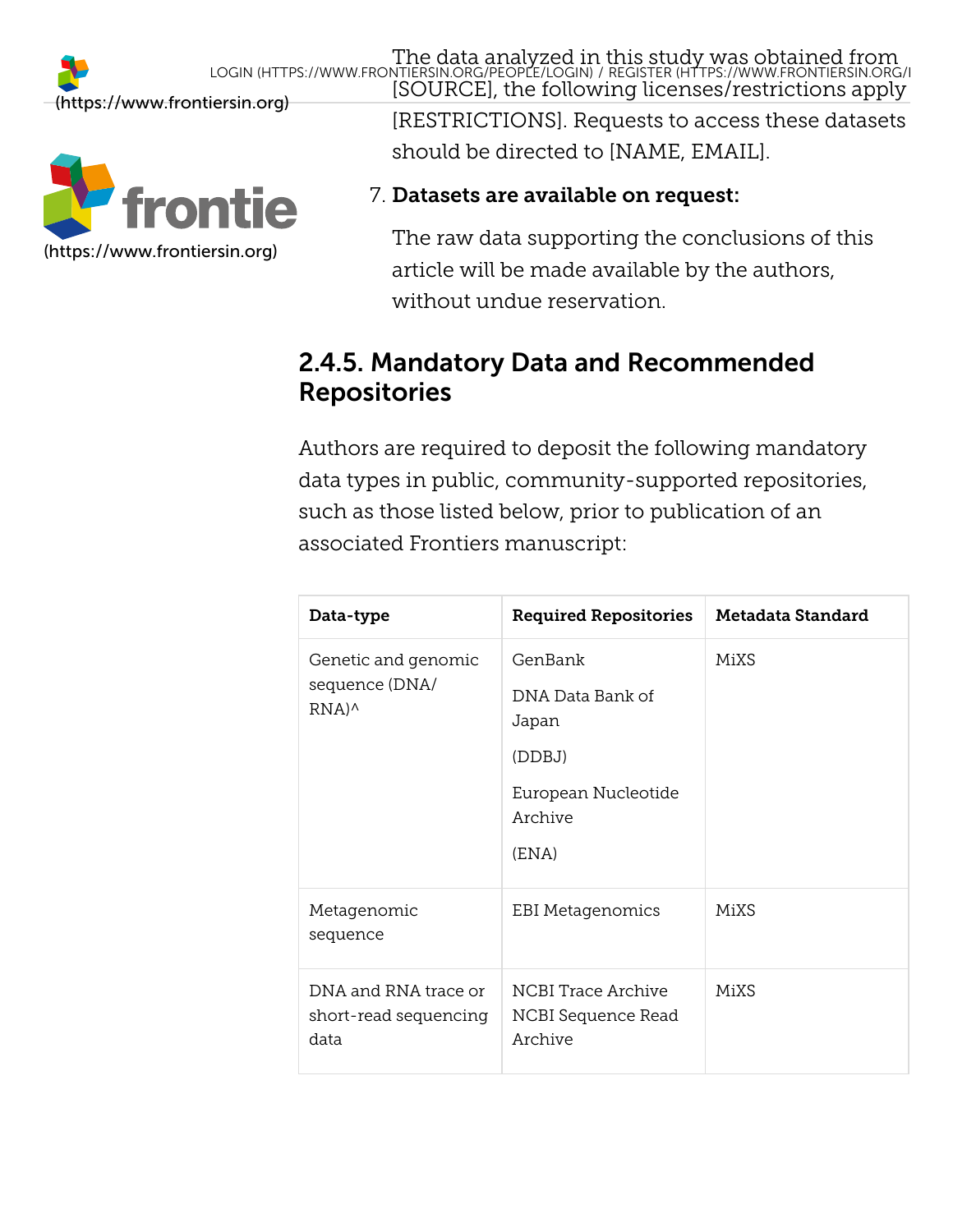

[SOURCE], the following licenses/restrictions apply [RESTRICTIONS]. Requests to access these datasets should be directed to [NAME, EMAIL].

### 7. Datasets are available on request:

The raw data supporting the conclusions of this article will be made available by the authors, without undue reservation.

### <span id="page-26-0"></span>2.4.5. Mandatory Data and Recommended Repositories

Authors are required to deposit the following mandatory data types in public, community-supported repositories, such as those listed below, prior to publication of an associated Frontiers manuscript:

| Data-type                                                                      | <b>Required Repositories</b>                                                              | Metadata Standard |
|--------------------------------------------------------------------------------|-------------------------------------------------------------------------------------------|-------------------|
| Genetic and genomic<br>sequence (DNA/<br>$RNA)$ <sup><math>\wedge</math></sup> | GenBank<br>DNA Data Bank of<br>Japan<br>(DDBJ)<br>European Nucleotide<br>Archive<br>(ENA) | MiXS              |
| Metagenomic<br>sequence                                                        | EBI Metagenomics                                                                          | MiXS              |
| DNA and RNA trace or<br>short-read sequencing<br>data                          | NCBI Trace Archive<br>NCBI Sequence Read<br>Archive                                       | MiXS              |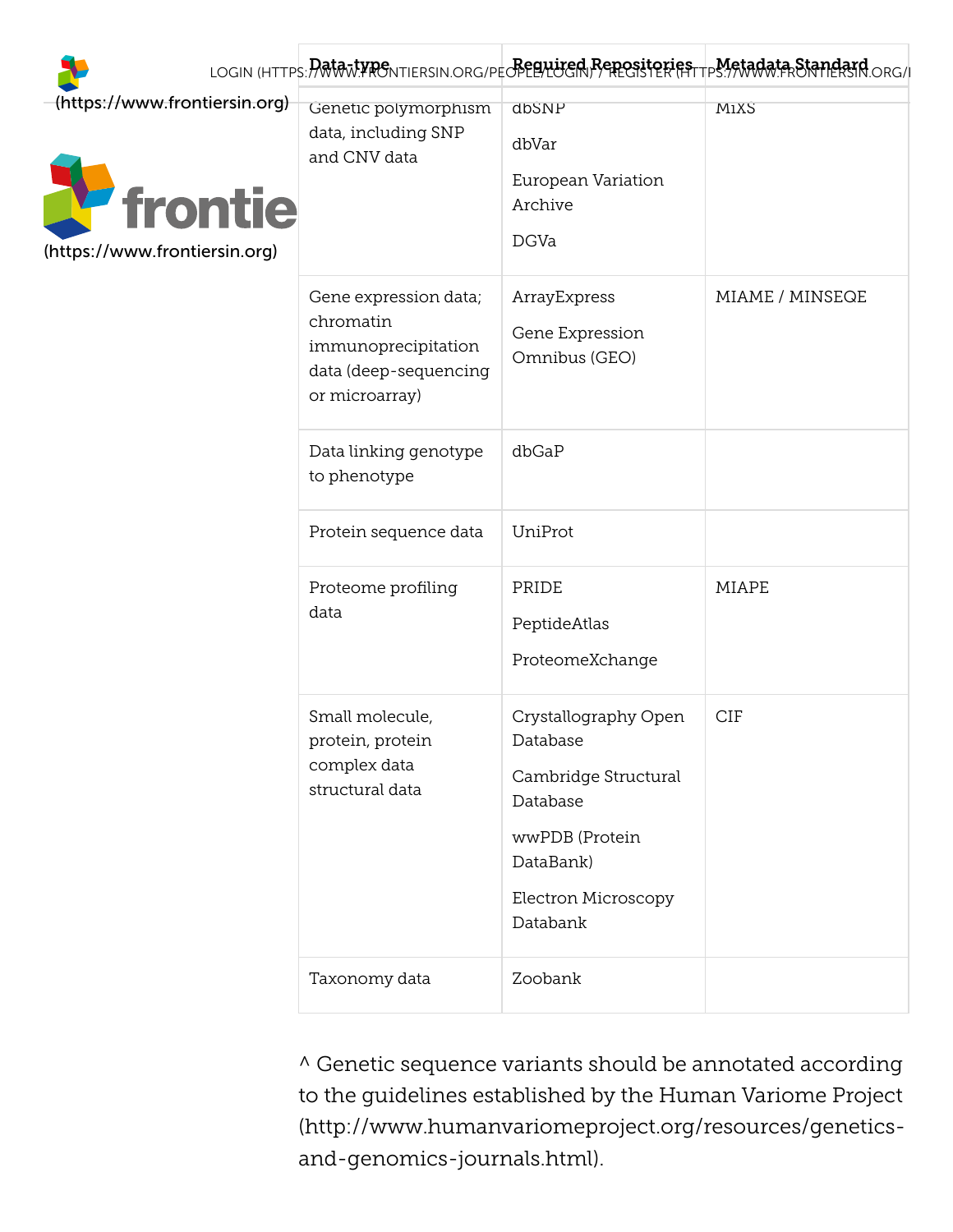|                                                                                         |                                                                                                      |                                                                                                                                        | LOGIN (HTTPS: PORTAL PRONTIERSIN.ORG/PECPERTUGEN PORTEGISTER FITTPS://WWW.FRONTIERSTN.ORG/I |
|-----------------------------------------------------------------------------------------|------------------------------------------------------------------------------------------------------|----------------------------------------------------------------------------------------------------------------------------------------|---------------------------------------------------------------------------------------------|
| (https://www.frontiersin.org)<br><i><b>frontie</b></i><br>(https://www.frontiersin.org) | Genetic polymorphism<br>data, including SNP<br>and CNV data                                          | dbSNP<br>dbVar<br>European Variation<br>Archive<br><b>DGVa</b>                                                                         | MiXS                                                                                        |
|                                                                                         | Gene expression data;<br>chromatin<br>immunoprecipitation<br>data (deep-sequencing<br>or microarray) | ArrayExpress<br>Gene Expression<br>Omnibus (GEO)                                                                                       | MIAME / MINSEQE                                                                             |
|                                                                                         | Data linking genotype<br>to phenotype                                                                | dbGaP                                                                                                                                  |                                                                                             |
|                                                                                         | Protein sequence data                                                                                | UniProt                                                                                                                                |                                                                                             |
|                                                                                         | Proteome profiling<br>data                                                                           | PRIDE<br>PeptideAtlas<br>ProteomeXchange                                                                                               | MIAPE                                                                                       |
|                                                                                         | Small molecule,<br>protein, protein<br>complex data<br>structural data                               | Crystallography Open<br>Database<br>Cambridge Structural<br>Database<br>wwPDB (Protein<br>DataBank)<br>Electron Microscopy<br>Databank | <b>CIF</b>                                                                                  |
|                                                                                         | Taxonomy data                                                                                        | Zoobank                                                                                                                                |                                                                                             |

^ Genetic sequence variants should be annotated according to the guidelines established by the Human Variome Project [\(http://www.humanvariomeproject.org/resources/genetics](http://www.humanvariomeproject.org/resources/genetics-and-genomics-journals.html)and-genomics-journals.html).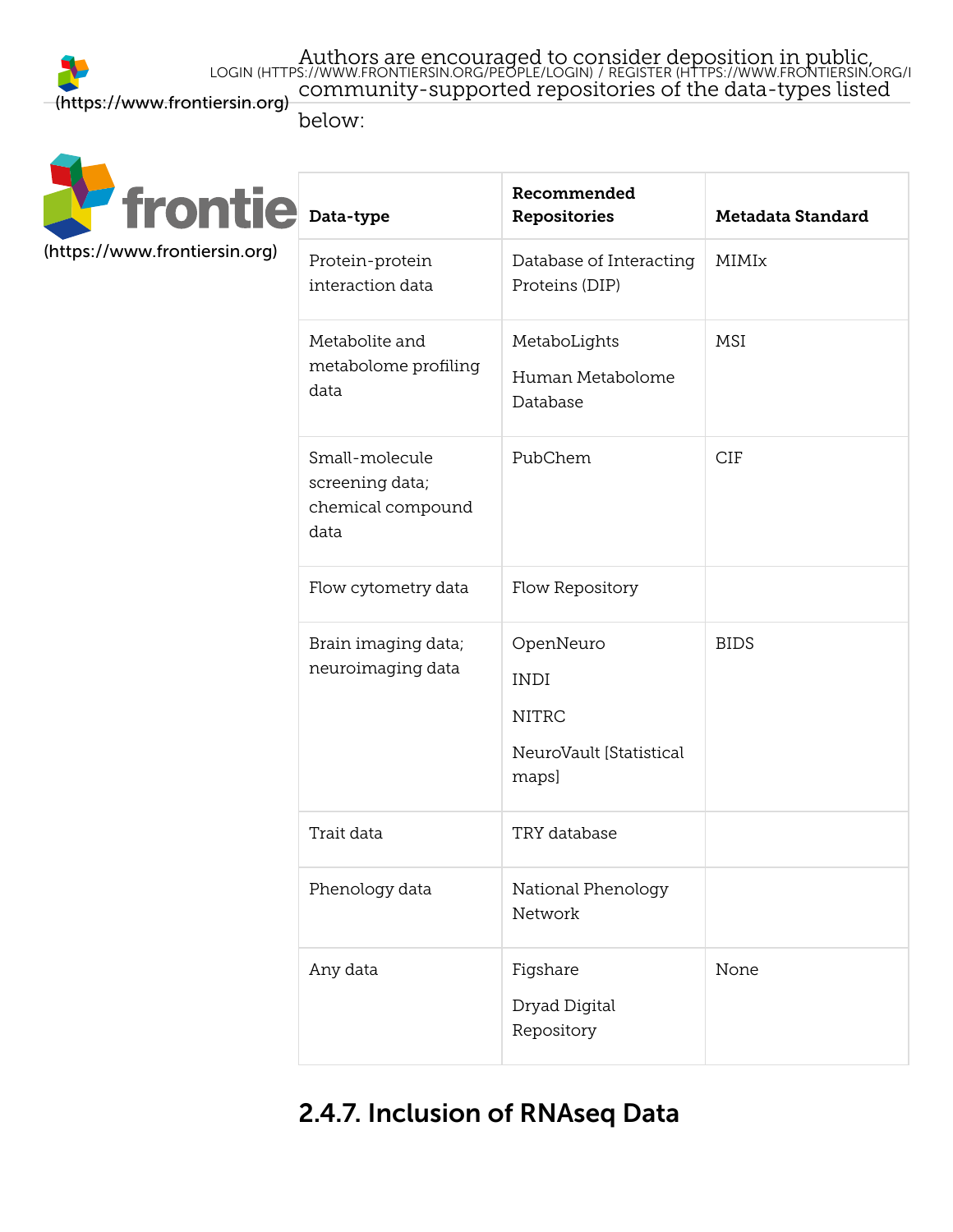Authors are encouraged to co[nsider deposition in public,](https://www.frontiersin.org/register) community-supported repositories of the data-types listed LOGIN [\(HTTPS://WWW.FRONTIERSIN.ORG/PEOPLE/LOGIN\)](https://www.frontiersin.org/people/login) / REGISTER (HTTPS://WWW.FRONTIERSIN.ORG/R

Recommended

below:



| Data-type                                                      | <b>Repositories</b>                                                          | Metadata Standard |  |
|----------------------------------------------------------------|------------------------------------------------------------------------------|-------------------|--|
| Protein-protein<br>interaction data                            | Database of Interacting<br>Proteins (DIP)                                    | MIMIx             |  |
| Metabolite and<br>metabolome profiling<br>data                 | MetaboLights<br>Human Metabolome<br>Database                                 | MSI               |  |
| Small-molecule<br>screening data;<br>chemical compound<br>data | PubChem                                                                      | <b>CIF</b>        |  |
| Flow cytometry data                                            | Flow Repository                                                              |                   |  |
| Brain imaging data;<br>neuroimaging data                       | OpenNeuro<br><b>INDI</b><br><b>NITRC</b><br>NeuroVault [Statistical<br>maps] | <b>BIDS</b>       |  |
| Trait data                                                     | TRY database                                                                 |                   |  |
| Phenology data                                                 | National Phenology<br>Network                                                |                   |  |
| Any data                                                       | Figshare<br>Dryad Digital<br>Repository                                      | None              |  |

### <span id="page-28-0"></span>2.4.7. Inclusion of RNAseq Data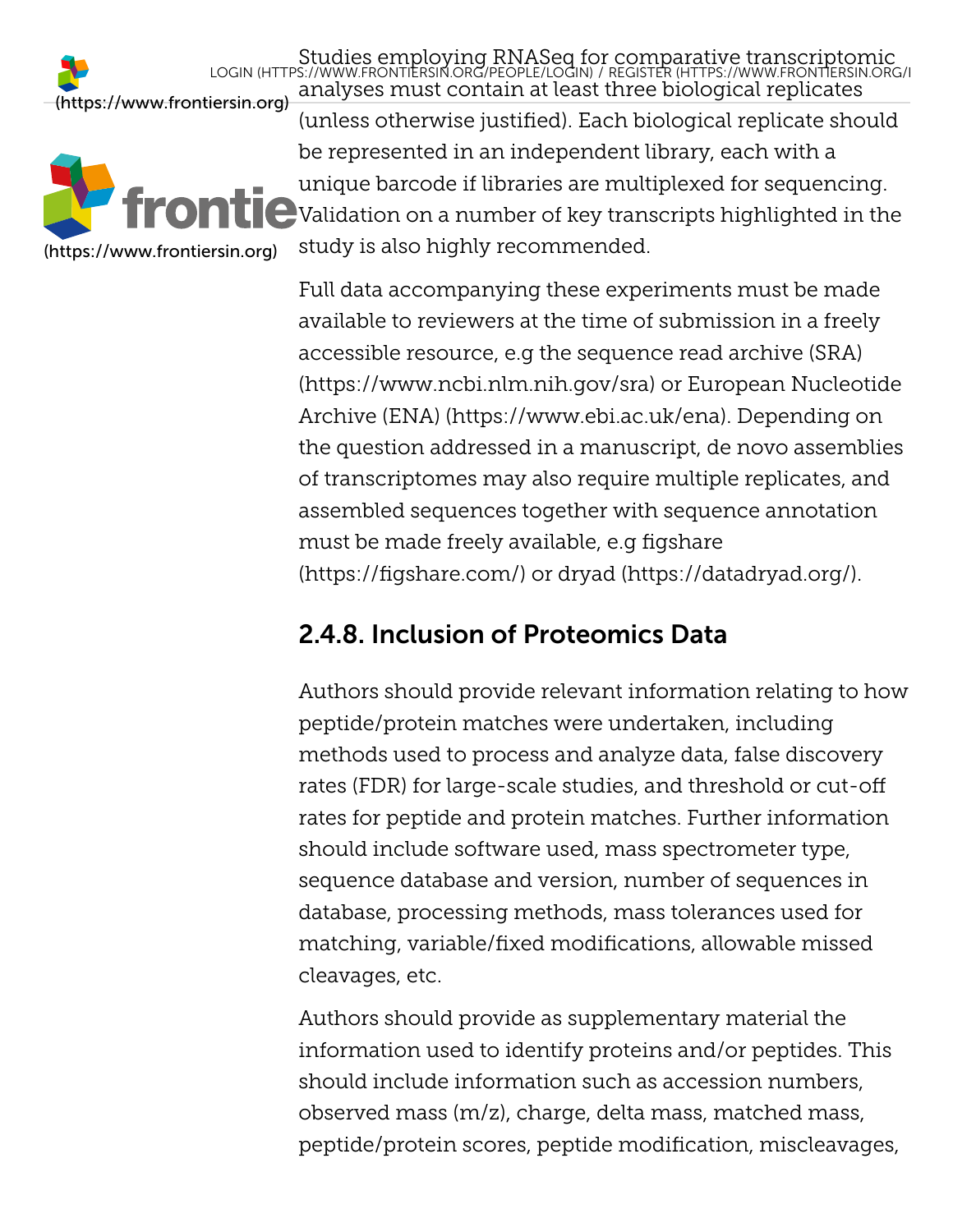

analyses must contain at least three biological replicates (unless otherwise justified). Each biological replicate should be represented in an independent library, each with a unique barcode if libraries are multiplexed for sequencing.  $\bigcup$  Validation on a number of key transcripts highlighted in the study is also highly recommended. LOGIN [\(HTTPS://WWW.FRONTIERSIN.ORG/PEOPLE/LOGIN\)](https://www.frontiersin.org/people/login) / REGISTER (HTTPS://WWW.FRONTIERSIN.ORG/R

Studies employing RNASeq fo[r comparative transcriptomic](https://www.frontiersin.org/register)

Full data accompanying these experiments must be made available to reviewers at the time of submission in a freely accessible resource, e.g the sequence read archive (SRA) [\(https://www.ncbi.nlm.nih.gov/sra\) or](https://www.ncbi.nlm.nih.gov/sra) European Nucleotide [Archive \(ENA\) \(https://www.ebi.ac.uk/ena\). Depending on](https://www.ebi.ac.uk/ena) the question addressed in a manuscript, de novo assemblies of transcriptomes may also require multiple replicates, and assembled sequences together with sequence annotation [must be made freely available, e.g](https://figshare.com/) figshare (https://figshare.com/) or [dryad \(https://datadryad.org/\)](https://datadryad.org/).

### <span id="page-29-0"></span>2.4.8. Inclusion of Proteomics Data

Authors should provide relevant information relating to how peptide/protein matches were undertaken, including methods used to process and analyze data, false discovery rates (FDR) for large-scale studies, and threshold or cut-off rates for peptide and protein matches. Further information should include software used, mass spectrometer type, sequence database and version, number of sequences in database, processing methods, mass tolerances used for matching, variable/fixed modifications, allowable missed cleavages, etc.

Authors should provide as supplementary material the information used to identify proteins and/or peptides. This should include information such as accession numbers, observed mass (m/z), charge, delta mass, matched mass, peptide/protein scores, peptide modification, miscleavages,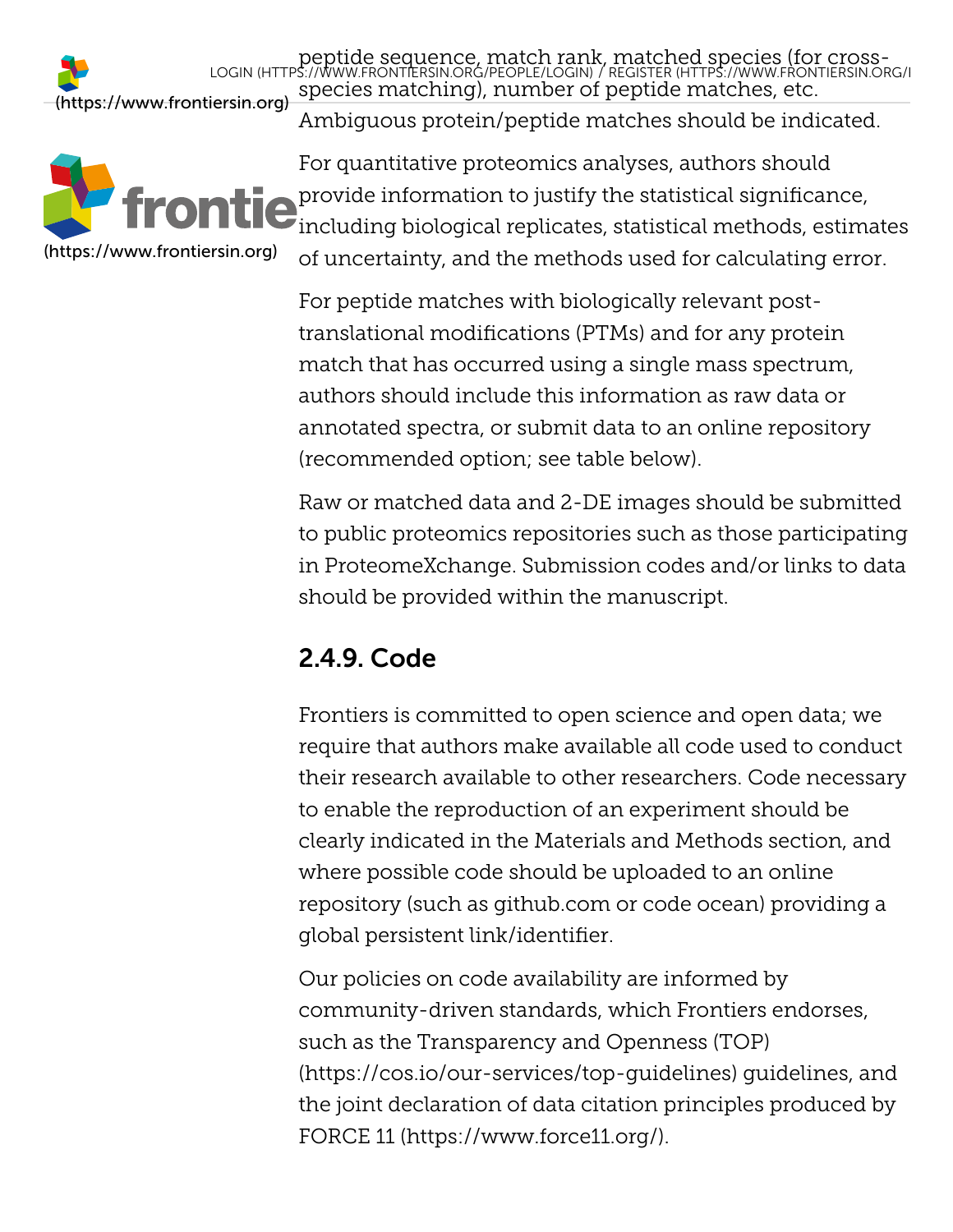

peptide sequence, match rank, [matched species \(for cross](https://www.frontiersin.org/register)species matching), number of peptide matches, etc. Ambiguous protein/peptide matches should be indicated. LOGIN [\(HTTPS://WWW.FRONTIERSIN.ORG/PEOPLE/LOGIN\)](https://www.frontiersin.org/people/login) / REGISTER (HTTPS://WWW.FRONTIERSIN.ORG/R

For quantitative proteomics analyses, authors should **provide information to justify the statistical significance,** including biological replicates, statistical methods, estimates of uncertainty, and the methods used for calculating error.

For peptide matches with biologically relevant posttranslational modifications (PTMs) and for any protein match that has occurred using a single mass spectrum, authors should include this information as raw data or annotated spectra, or submit data to an online repository (recommended option; see table below).

Raw or matched data and 2-DE images should be submitted to public proteomics repositories such as those participating in ProteomeXchange. Submission codes and/or links to data should be provided within the manuscript.

## <span id="page-30-0"></span>2.4.9. Code

Frontiers is committed to open science and open data; we require that authors make available all code used to conduct their research available to other researchers. Code necessary to enable the reproduction of an experiment should be clearly indicated in the Materials and Methods section, and where possible code should be uploaded to an online repository (such as github.com or code ocean) providing a global persistent link/identifier.

<span id="page-30-1"></span>Our policies on code availability are informed by community-driven standards, which Frontiers endorses, such as the Transparency and Openness (TOP) [\(https://cos.io/our-services/top-guidelines\) gui](https://cos.io/our-services/top-guidelines)delines, and the joint declaration of data citation principles produced by [FORCE 11 \(https://www.force11.org/\).](https://www.force11.org/)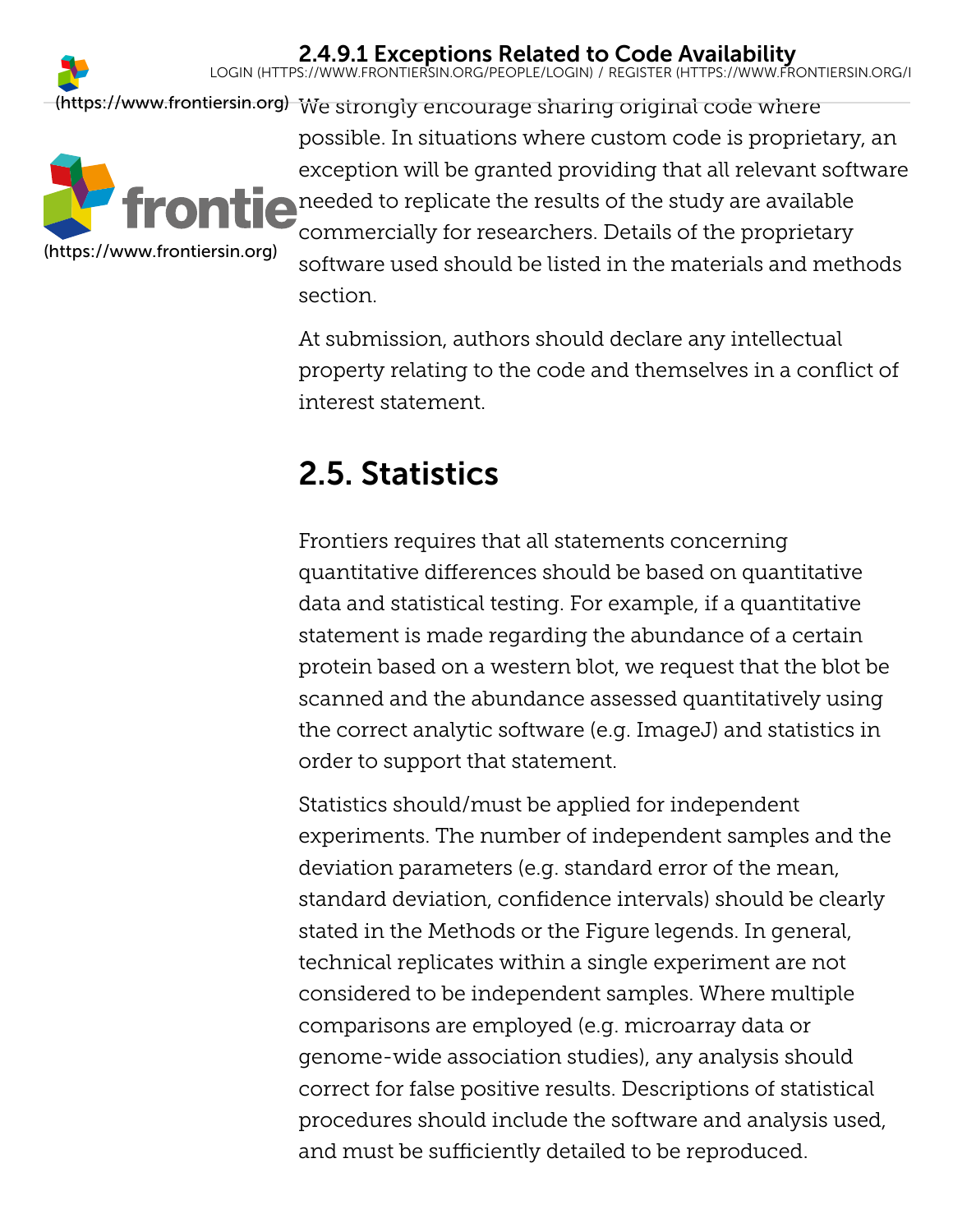

### 2.4.9.1 Exceptions Related to Code Availability

LOGIN [\(HTTPS://WWW.FRONTIERSIN.ORG/PEOPLE/LOGIN\)](https://www.frontiersin.org/people/login) / REGISTER [\(HTTPS://WWW.FRONTIERSIN.ORG/R](https://www.frontiersin.org/register)

[\(https://www.frontiersin.org\)](https://www.frontiersin.org/) We strongly encourage sharing original code where possible. In situations where custom code is proprietary, an exception will be granted providing that all relevant software **needed to replicate the results of the study are available** commercially for researchers. Details of the proprietary software used should be listed in the materials and methods section. [\(https://www.frontiersin.org\)](https://www.frontiersin.org/)

> At submission, authors should declare any intellectual property relating to the code and themselves in a conflict of interest statement.

## <span id="page-31-0"></span>2.5. Statistics

Frontiers requires that all statements concerning quantitative differences should be based on quantitative data and statistical testing. For example, if a quantitative statement is made regarding the abundance of a certain protein based on a western blot, we request that the blot be scanned and the abundance assessed quantitatively using the correct analytic software (e.g. ImageJ) and statistics in order to support that statement.

<span id="page-31-1"></span>Statistics should/must be applied for independent experiments. The number of independent samples and the deviation parameters (e.g. standard error of the mean, standard deviation, confidence intervals) should be clearly stated in the Methods or the Figure legends. In general, technical replicates within a single experiment are not considered to be independent samples. Where multiple comparisons are employed (e.g. microarray data or genome-wide association studies), any analysis should correct for false positive results. Descriptions of statistical procedures should include the software and analysis used, and must be sufficiently detailed to be reproduced.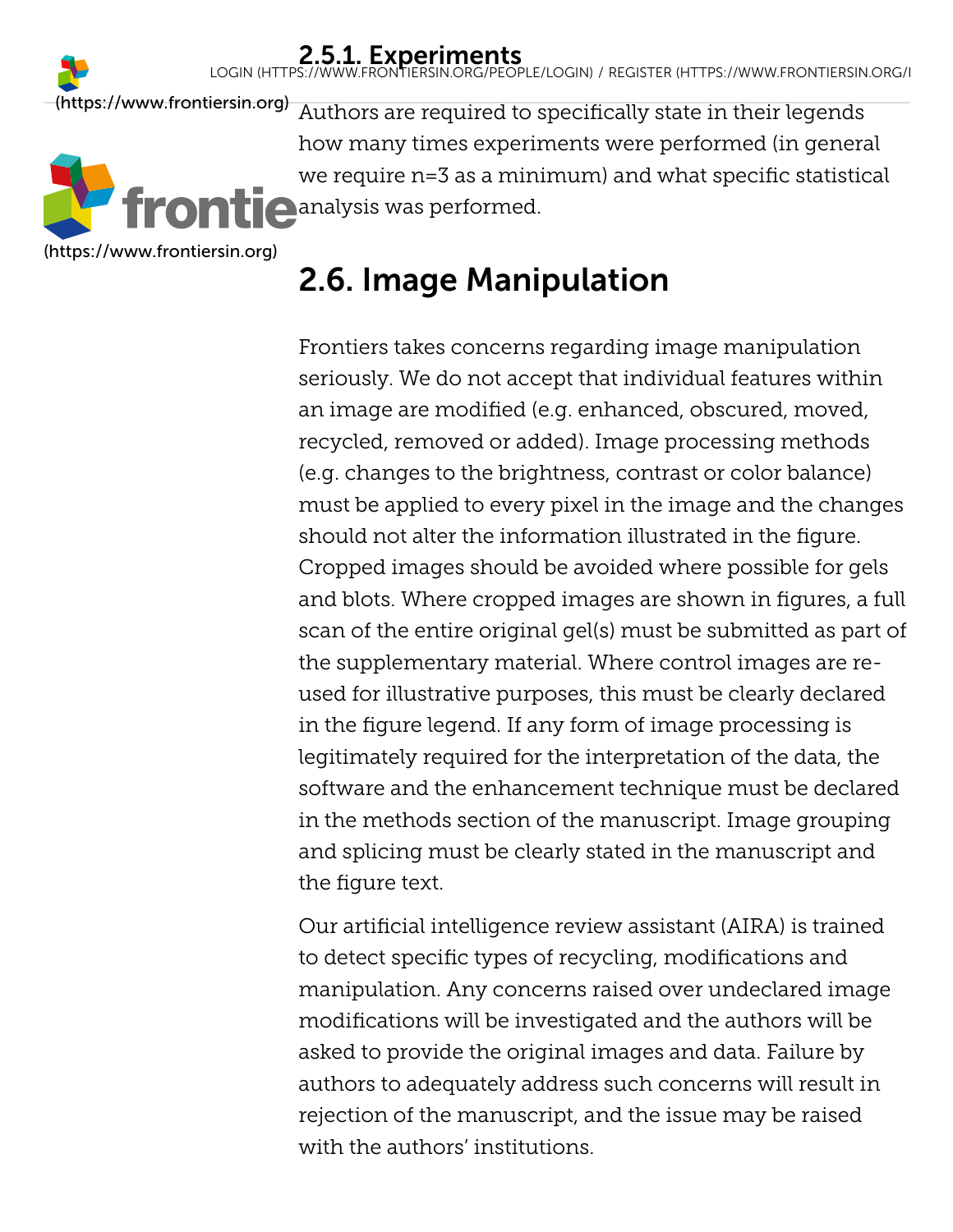**2.5.1. Experiments**<br>LOGIN [\(HTTPS://WWW.FRONTIERSIN.ORG/PEOPLE/LOGIN\)](https://www.frontiersin.org/people/login) / REGISTER (HTTPS://WWW.FRONTIERSIN.ORG/I

[\(https://www.frontiersin.org\)](https://www.frontiersin.org/)

[\(https://www.frontiersin.org\)](https://www.frontiersin.org/)

Authors are required to specifically state in their legends how many times experiments were performed (in general we require n=3 as a minimum) and what specific statistical **analysis was performed.** 

# <span id="page-32-0"></span>2.6. Image Manipulation

Frontiers takes concerns regarding image manipulation seriously. We do not accept that individual features within an image are modified (e.g. enhanced, obscured, moved, recycled, removed or added). Image processing methods (e.g. changes to the brightness, contrast or color balance) must be applied to every pixel in the image and the changes should not alter the information illustrated in the figure. Cropped images should be avoided where possible for gels and blots. Where cropped images are shown in figures, a full scan of the entire original gel(s) must be submitted as part of the supplementary material. Where control images are reused for illustrative purposes, this must be clearly declared in the figure legend. If any form of image processing is legitimately required for the interpretation of the data, the software and the enhancement technique must be declared in the methods section of the manuscript. Image grouping and splicing must be clearly stated in the manuscript and the figure text.

<span id="page-32-1"></span>Our artificial intelligence review assistant (AIRA) is trained to detect specific types of recycling, modifications and manipulation. Any concerns raised over undeclared image modifications will be investigated and the authors will be asked to provide the original images and data. Failure by authors to adequately address such concerns will result in rejection of the manuscript, and the issue may be raised with the authors' institutions.